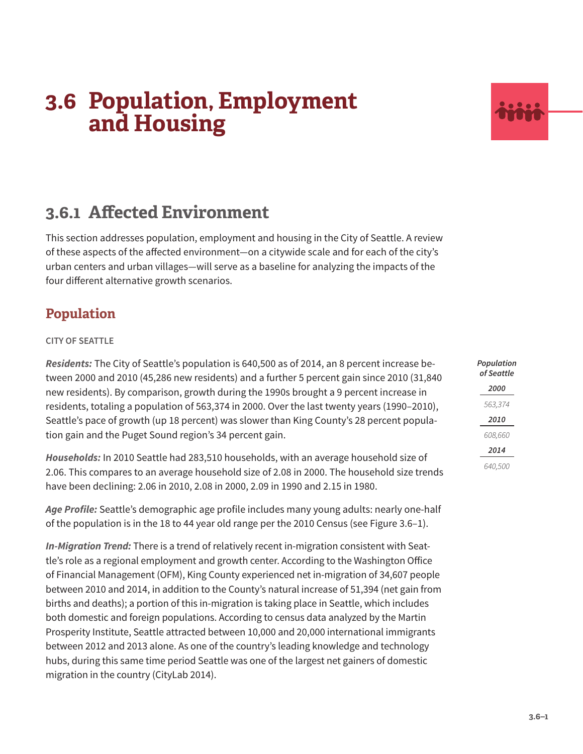

# **3.6.1 Affected Environment**

This section addresses population, employment and housing in the City of Seattle. A review of these aspects of the affected environment—on a citywide scale and for each of the city's urban centers and urban villages—will serve as a baseline for analyzing the impacts of the four different alternative growth scenarios.

## **Population**

### **CITY OF SEATTLE**

*Residents:* The City of Seattle's population is 640,500 as of 2014, an 8 percent increase between 2000 and 2010 (45,286 new residents) and a further 5 percent gain since 2010 (31,840 new residents). By comparison, growth during the 1990s brought a 9 percent increase in residents, totaling a population of 563,374 in 2000. Over the last twenty years (1990–2010), Seattle's pace of growth (up 18 percent) was slower than King County's 28 percent population gain and the Puget Sound region's 34 percent gain.

*Households:* In 2010 Seattle had 283,510 households, with an average household size of 2.06. This compares to an average household size of 2.08 in 2000. The household size trends have been declining: 2.06 in 2010, 2.08 in 2000, 2.09 in 1990 and 2.15 in 1980.

*Age Profile:* Seattle's demographic age profile includes many young adults: nearly one-half of the population is in the 18 to 44 year old range per the 2010 Census (see [Figure 3.6–1](#page-1-0)).

*In-Migration Trend:* There is a trend of relatively recent in-migration consistent with Seattle's role as a regional employment and growth center. According to the Washington Office of Financial Management (OFM), King County experienced net in-migration of 34,607 people between 2010 and 2014, in addition to the County's natural increase of 51,394 (net gain from births and deaths); a portion of this in-migration is taking place in Seattle, which includes both domestic and foreign populations. According to census data analyzed by the Martin Prosperity Institute, Seattle attracted between 10,000 and 20,000 international immigrants between 2012 and 2013 alone. As one of the country's leading knowledge and technology hubs, during this same time period Seattle was one of the largest net gainers of domestic migration in the country (CityLab 2014).

| J | Population<br>of Seattle |
|---|--------------------------|
|   | 2000                     |
|   | 563,374                  |
|   | 2010                     |
|   | 608,660                  |
|   | 2014                     |
| S | 640,500                  |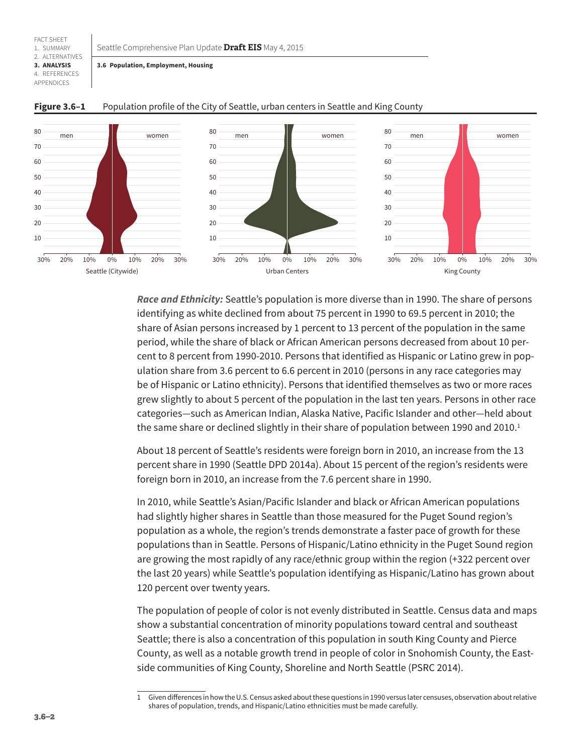<span id="page-1-0"></span>Seattle Comprehensive Plan Update **Draft EIS** May 4, 2015

#### 2. ALTERNATIVES **3. ANALYSIS 3.6 Population, Employment, Housing**

4. REFERENCES APPENDICES

FACT SHEET 1. SUMMARY



#### **Figure 3.6–1** Population profile of the City of Seattle, urban centers in Seattle and King County

*Race and Ethnicity:* Seattle's population is more diverse than in 1990. The share of persons identifying as white declined from about 75 percent in 1990 to 69.5 percent in 2010; the share of Asian persons increased by 1 percent to 13 percent of the population in the same period, while the share of black or African American persons decreased from about 10 percent to 8 percent from 1990-2010. Persons that identified as Hispanic or Latino grew in population share from 3.6 percent to 6.6 percent in 2010 (persons in any race categories may be of Hispanic or Latino ethnicity). Persons that identified themselves as two or more races grew slightly to about 5 percent of the population in the last ten years. Persons in other race categories—such as American Indian, Alaska Native, Pacific Islander and other—held about the same share or declined slightly in their share of population between 1990 and  $2010<sup>1</sup>$ 

About 18 percent of Seattle's residents were foreign born in 2010, an increase from the 13 percent share in 1990 (Seattle DPD 2014a). About 15 percent of the region's residents were foreign born in 2010, an increase from the 7.6 percent share in 1990.

In 2010, while Seattle's Asian/Pacific Islander and black or African American populations had slightly higher shares in Seattle than those measured for the Puget Sound region's population as a whole, the region's trends demonstrate a faster pace of growth for these populations than in Seattle. Persons of Hispanic/Latino ethnicity in the Puget Sound region are growing the most rapidly of any race/ethnic group within the region (+322 percent over the last 20 years) while Seattle's population identifying as Hispanic/Latino has grown about 120 percent over twenty years.

The population of people of color is not evenly distributed in Seattle. Census data and maps show a substantial concentration of minority populations toward central and southeast Seattle; there is also a concentration of this population in south King County and Pierce County, as well as a notable growth trend in people of color in Snohomish County, the Eastside communities of King County, Shoreline and North Seattle (PSRC 2014).

<sup>1</sup> Given differences in how the U.S. Census asked about these questions in 1990 versus later censuses, observation about relative shares of population, trends, and Hispanic/Latino ethnicities must be made carefully.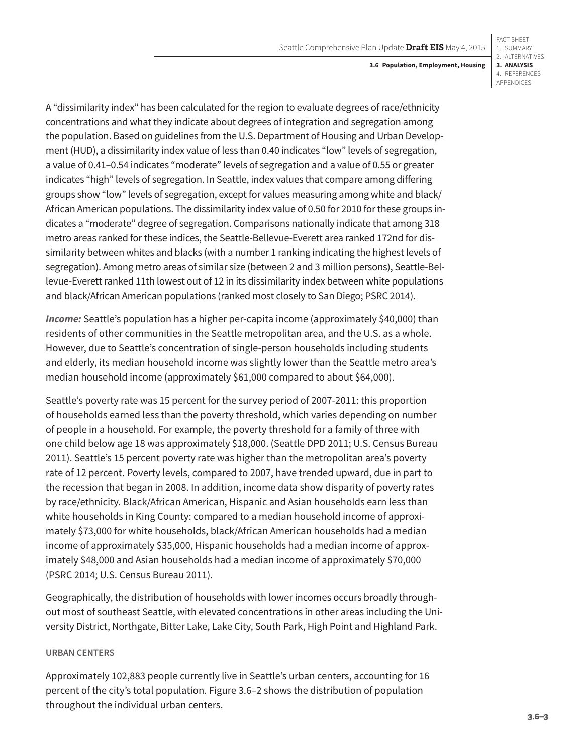**3.6 Population, Employment, Housing**

A "dissimilarity index" has been calculated for the region to evaluate degrees of race/ethnicity concentrations and what they indicate about degrees of integration and segregation among the population. Based on guidelines from the U.S. Department of Housing and Urban Development (HUD), a dissimilarity index value of less than 0.40 indicates "low" levels of segregation, a value of 0.41–0.54 indicates "moderate" levels of segregation and a value of 0.55 or greater indicates "high" levels of segregation. In Seattle, index values that compare among differing groups show "low" levels of segregation, except for values measuring among white and black/ African American populations. The dissimilarity index value of 0.50 for 2010 for these groups indicates a "moderate" degree of segregation. Comparisons nationally indicate that among 318 metro areas ranked for these indices, the Seattle-Bellevue-Everett area ranked 172nd for dissimilarity between whites and blacks (with a number 1 ranking indicating the highest levels of segregation). Among metro areas of similar size (between 2 and 3 million persons), Seattle-Bellevue-Everett ranked 11th lowest out of 12 in its dissimilarity index between white populations and black/African American populations (ranked most closely to San Diego; PSRC 2014).

*Income:* Seattle's population has a higher per-capita income (approximately \$40,000) than residents of other communities in the Seattle metropolitan area, and the U.S. as a whole. However, due to Seattle's concentration of single-person households including students and elderly, its median household income was slightly lower than the Seattle metro area's median household income (approximately \$61,000 compared to about \$64,000).

Seattle's poverty rate was 15 percent for the survey period of 2007-2011: this proportion of households earned less than the poverty threshold, which varies depending on number of people in a household. For example, the poverty threshold for a family of three with one child below age 18 was approximately \$18,000. (Seattle DPD 2011; U.S. Census Bureau 2011). Seattle's 15 percent poverty rate was higher than the metropolitan area's poverty rate of 12 percent. Poverty levels, compared to 2007, have trended upward, due in part to the recession that began in 2008. In addition, income data show disparity of poverty rates by race/ethnicity. Black/African American, Hispanic and Asian households earn less than white households in King County: compared to a median household income of approximately \$73,000 for white households, black/African American households had a median income of approximately \$35,000, Hispanic households had a median income of approximately \$48,000 and Asian households had a median income of approximately \$70,000 (PSRC 2014; U.S. Census Bureau 2011).

Geographically, the distribution of households with lower incomes occurs broadly throughout most of southeast Seattle, with elevated concentrations in other areas including the University District, Northgate, Bitter Lake, Lake City, South Park, High Point and Highland Park.

### **URBAN CENTERS**

Approximately 102,883 people currently live in Seattle's urban centers, accounting for 16 percent of the city's total population. [Figure 3.6–2](#page-3-0) shows the distribution of population throughout the individual urban centers.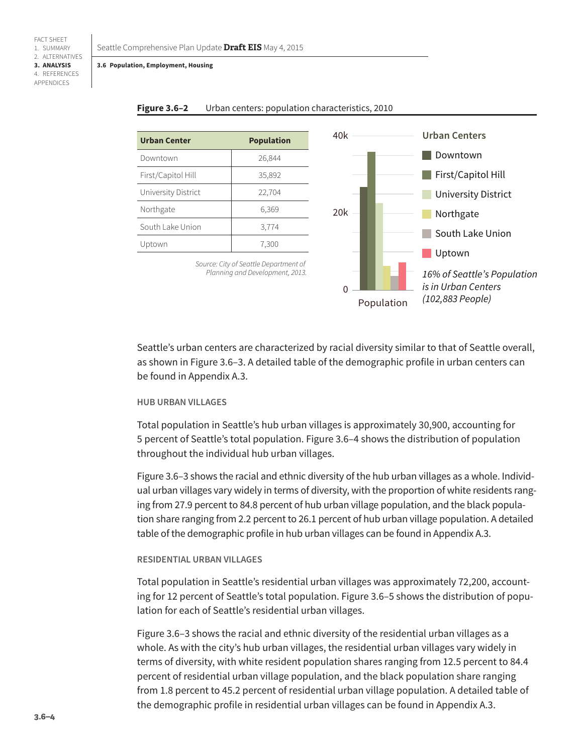| <b>Urban Center</b> | <b>Population</b> |
|---------------------|-------------------|
| Downtown            | 26,844            |
| First/Capitol Hill  | 35,892            |
| University District | 22,704            |
| Northgate           | 6,369             |
| South Lake Union    | 3,774             |
| Uptown              | 7,300             |
|                     |                   |



*Source: City of Seattle Department of Planning and Development, 2013.*

<span id="page-3-0"></span>

Seattle's urban centers are characterized by racial diversity similar to that of Seattle overall, as shown in [Figure 3.6–3](#page-4-0). A detailed table of the demographic profile in urban centers can be found in Appendix A.3.

#### **HUB URBAN VILLAGES**

Total population in Seattle's hub urban villages is approximately 30,900, accounting for 5 percent of Seattle's total population. [Figure 3.6–4](#page-4-1) shows the distribution of population throughout the individual hub urban villages.

[Figure 3.6–3](#page-4-0) shows the racial and ethnic diversity of the hub urban villages as a whole. Individual urban villages vary widely in terms of diversity, with the proportion of white residents ranging from 27.9 percent to 84.8 percent of hub urban village population, and the black population share ranging from 2.2 percent to 26.1 percent of hub urban village population. A detailed table of the demographic profile in hub urban villages can be found in Appendix A.3.

#### **RESIDENTIAL URBAN VILLAGES**

Total population in Seattle's residential urban villages was approximately 72,200, accounting for 12 percent of Seattle's total population. [Figure 3.6–5](#page-5-0) shows the distribution of population for each of Seattle's residential urban villages.

[Figure 3.6–3](#page-4-0) shows the racial and ethnic diversity of the residential urban villages as a whole. As with the city's hub urban villages, the residential urban villages vary widely in terms of diversity, with white resident population shares ranging from 12.5 percent to 84.4 percent of residential urban village population, and the black population share ranging from 1.8 percent to 45.2 percent of residential urban village population. A detailed table of the demographic profile in residential urban villages can be found in Appendix A.3.

1. SUMMARY 2. ALTERNATIVES **3. ANALYSIS** 4. REFERENCES APPENDICES

FACT SHEET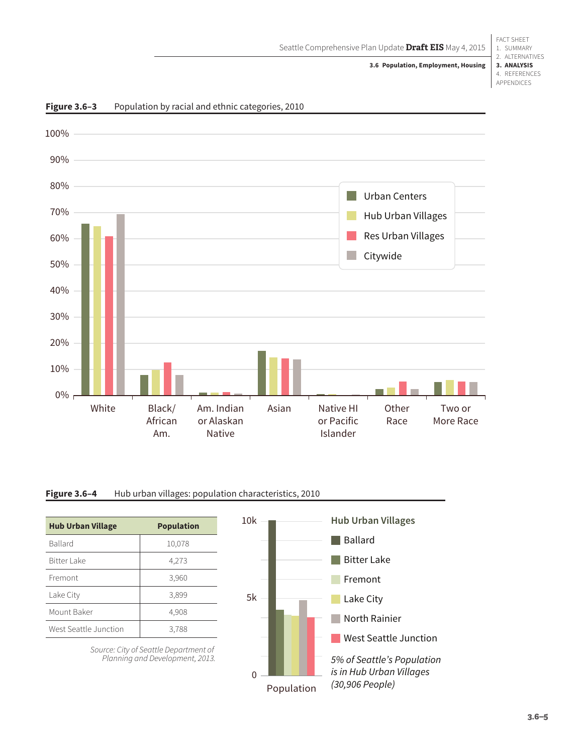FACT SHEET 1. SUMMARY 2. ALTERNATIVES **3. ANALYSIS** 4. REFERENCES APPENDICES



#### <span id="page-4-0"></span>**Figure 3.6–3** Population by racial and ethnic categories, 2010

### Figure 3.6-4 Hub urban villages: population characteristics, 2010

| <b>Hub Urban Village</b> | <b>Population</b> |
|--------------------------|-------------------|
| <b>Ballard</b>           | 10,078            |
| Bitter Lake              | 4,273             |
| Fremont                  | 3,960             |
| Lake City                | 3,899             |
| Mount Baker              | 4,908             |
| West Seattle Junction    | 3,788             |

*Source: City of Seattle Department of Planning and Development, 2013.*

<span id="page-4-1"></span>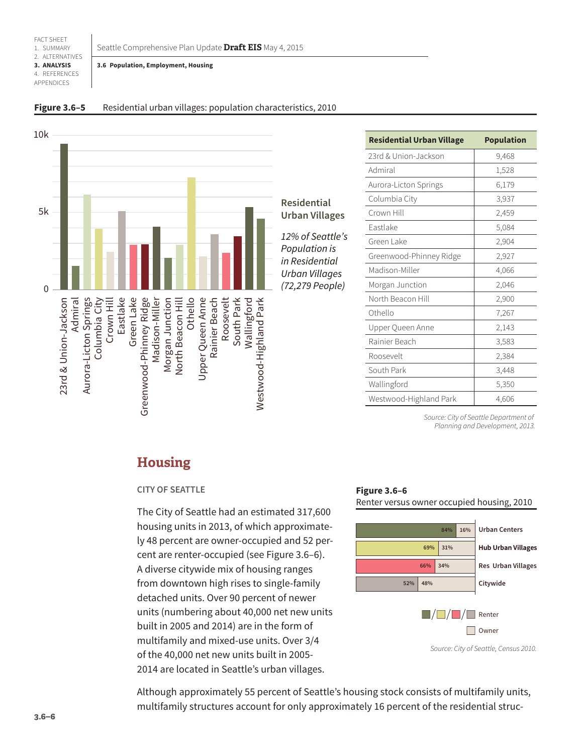<span id="page-5-0"></span>Seattle Comprehensive Plan Update **Draft EIS** May 4, 2015

**3.6 Population, Employment, Housing**

### **Figure 3.6–5** Residential urban villages: population characteristics, 2010



**Residential Urban Villages**

12% of Seattle's Population is in Residential Urban Villages (72,279 People)

| <b>Residential Urban Village</b> | <b>Population</b> |
|----------------------------------|-------------------|
| 23rd & Union-Jackson             | 9,468             |
| Admiral                          | 1,528             |
| Aurora-Licton Springs            | 6,179             |
| Columbia City                    | 3,937             |
| Crown Hill                       | 2,459             |
| Eastlake                         | 5,084             |
| Green Lake                       | 2,904             |
| Greenwood-Phinney Ridge          | 2,927             |
| Madison-Miller                   | 4,066             |
| Morgan Junction                  | 2,046             |
| North Beacon Hill                | 2,900             |
| Othello                          | 7,267             |
| Upper Queen Anne                 | 2,143             |
| Rainier Beach                    | 3,583             |
| Roosevelt                        | 2,384             |
| South Park                       | 3,448             |
| Wallingford                      | 5,350             |
| Westwood-Highland Park           | 4,606             |

*Source: City of Seattle Department of Planning and Development, 2013.*

## **Housing**

### **CITY OF SEATTLE**

The City of Seattle had an estimated 317,600 housing units in 2013, of which approximately 48 percent are owner-occupied and 52 percent are renter-occupied (see [Figure 3.6–6](#page-5-1)). A diverse citywide mix of housing ranges from downtown high rises to single-family detached units. Over 90 percent of newer units (numbering about 40,000 net new units built in 2005 and 2014) are in the form of multifamily and mixed-use units. Over 3/4 of the 40,000 net new units built in 2005- 2014 are located in Seattle's urban villages.

### <span id="page-5-1"></span>**Figure 3.6–6** Renter versus owner occupied housing, 2010



*Source: City of Seattle, Census 2010.*

Although approximately 55 percent of Seattle's housing stock consists of multifamily units, multifamily structures account for only approximately 16 percent of the residential struc-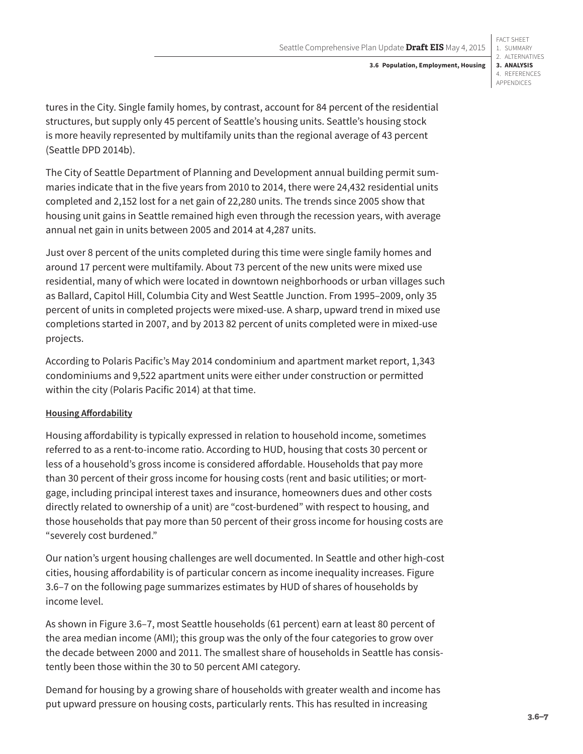FACT SHEET 1. SUMMARY 2. ALTERNATIVES **3. ANALYSIS** 4. REFERENCES APPENDICES

tures in the City. Single family homes, by contrast, account for 84 percent of the residential structures, but supply only 45 percent of Seattle's housing units. Seattle's housing stock is more heavily represented by multifamily units than the regional average of 43 percent (Seattle DPD 2014b).

The City of Seattle Department of Planning and Development annual building permit summaries indicate that in the five years from 2010 to 2014, there were 24,432 residential units completed and 2,152 lost for a net gain of 22,280 units. The trends since 2005 show that housing unit gains in Seattle remained high even through the recession years, with average annual net gain in units between 2005 and 2014 at 4,287 units.

Just over 8 percent of the units completed during this time were single family homes and around 17 percent were multifamily. About 73 percent of the new units were mixed use residential, many of which were located in downtown neighborhoods or urban villages such as Ballard, Capitol Hill, Columbia City and West Seattle Junction. From 1995–2009, only 35 percent of units in completed projects were mixed-use. A sharp, upward trend in mixed use completions started in 2007, and by 2013 82 percent of units completed were in mixed-use projects.

According to Polaris Pacific's May 2014 condominium and apartment market report, 1,343 condominiums and 9,522 apartment units were either under construction or permitted within the city (Polaris Pacific 2014) at that time.

### **Housing Affordability**

Housing affordability is typically expressed in relation to household income, sometimes referred to as a rent-to-income ratio. According to HUD, housing that costs 30 percent or less of a household's gross income is considered affordable. Households that pay more than 30 percent of their gross income for housing costs (rent and basic utilities; or mortgage, including principal interest taxes and insurance, homeowners dues and other costs directly related to ownership of a unit) are "cost-burdened" with respect to housing, and those households that pay more than 50 percent of their gross income for housing costs are "severely cost burdened."

Our nation's urgent housing challenges are well documented. In Seattle and other high-cost cities, housing affordability is of particular concern as income inequality increases. [Figure](#page-7-0)  [3.6–7](#page-7-0) on the following page summarizes estimates by HUD of shares of households by income level.

As shown in [Figure 3.6–7,](#page-7-0) most Seattle households (61 percent) earn at least 80 percent of the area median income (AMI); this group was the only of the four categories to grow over the decade between 2000 and 2011. The smallest share of households in Seattle has consistently been those within the 30 to 50 percent AMI category.

Demand for housing by a growing share of households with greater wealth and income has put upward pressure on housing costs, particularly rents. This has resulted in increasing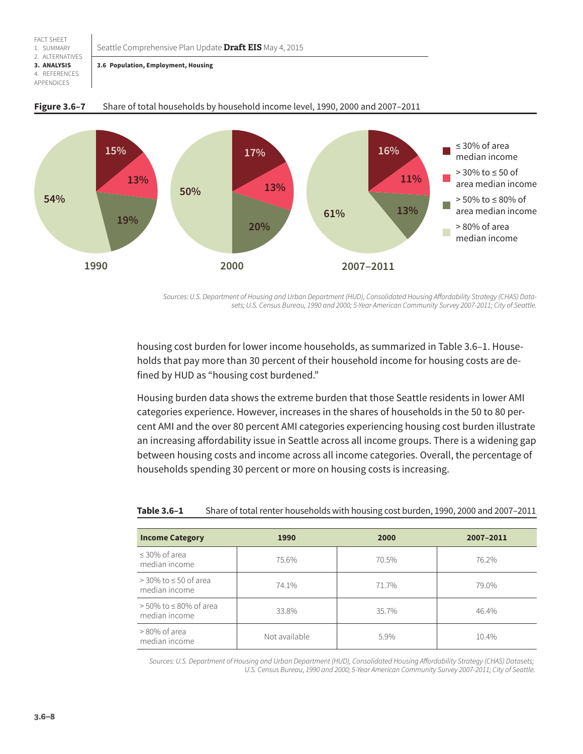#### <span id="page-7-0"></span>Seattle Comprehensive Plan Update **Draft EIS** May 4, 2015

FACT SHEET 1. SUMMARY 2. ALTERNATIVES **3. ANALYSIS** 4. REFERENCES APPENDICES

**3.6 Population, Employment, Housing**



#### **Figure 3.6–7** Share of total households by household income level, 1990, 2000 and 2007–2011

*Sources: U.S. Department of Housing and Urban Department (HUD), Consolidated Housing Affordability Strategy (CHAS) Datasets; U.S. Census Bureau, 1990 and 2000; 5-Year American Community Survey 2007-2011; City of Seattle.*

housing cost burden for lower income households, as summarized in [Table 3.6–1](#page-7-1). Households that pay more than 30 percent of their household income for housing costs are defined by HUD as "housing cost burdened."

Housing burden data shows the extreme burden that those Seattle residents in lower AMI categories experience. However, increases in the shares of households in the 50 to 80 percent AMI and the over 80 percent AMI categories experiencing housing cost burden illustrate an increasing affordability issue in Seattle across all income groups. There is a widening gap between housing costs and income across all income categories. Overall, the percentage of households spending 30 percent or more on housing costs is increasing.

| <b>Income Category</b>                         | 1990          | 2000  | 2007-2011 |
|------------------------------------------------|---------------|-------|-----------|
| $\leq$ 30% of area<br>median income            | 75.6%         | 70.5% | 76.2%     |
| $>$ 30% to $\leq$ 50 of area<br>median income  | 74.1%         | 71.7% | 79.0%     |
| $>$ 50% to $\leq$ 80% of area<br>median income | 33.8%         | 35.7% | 46.4%     |
| $>80\%$ of area<br>median income               | Not available | 5.9%  | 10.4%     |

<span id="page-7-1"></span>

| Table 3.6-1 | Share of total renter households with housing cost burden, 1990, 2000 and 2007-2011 |
|-------------|-------------------------------------------------------------------------------------|
|-------------|-------------------------------------------------------------------------------------|

*Sources: U.S. Department of Housing and Urban Department (HUD), Consolidated Housing Affordability Strategy (CHAS) Datasets; U.S. Census Bureau, 1990 and 2000; 5-Year American Community Survey 2007-2011; City of Seattle.*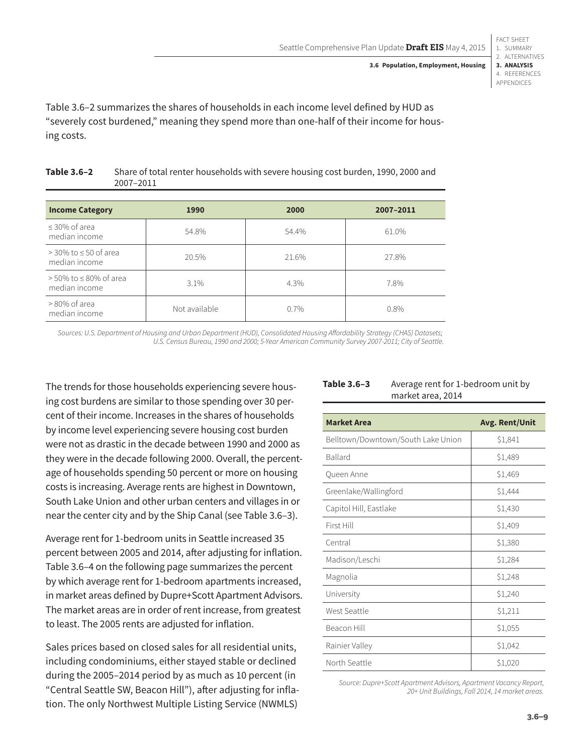FACT SHEET 1. SUMMARY 2. ALTERNATIVES **3. ANALYSIS** 4. REFERENCES APPENDICES

[Table 3.6–2](#page-8-0) summarizes the shares of households in each income level defined by HUD as "severely cost burdened," meaning they spend more than one-half of their income for housing costs.

| <b>Income Category</b>                         | 1990          | 2000  | 2007-2011 |
|------------------------------------------------|---------------|-------|-----------|
| $\leq$ 30% of area<br>median income            | 54.8%         | 54.4% | 61.0%     |
| $>$ 30% to $\leq$ 50 of area<br>median income  | 20.5%         | 21.6% | 27.8%     |
| $>$ 50% to $\leq$ 80% of area<br>median income | $3.1\%$       | 4.3%  | 7.8%      |
| $>80\%$ of area<br>median income               | Not available | 0.7%  | $0.8\%$   |

<span id="page-8-0"></span>

| Table 3.6-2 | Share of total renter households with severe housing cost burden, 1990, 2000 and |
|-------------|----------------------------------------------------------------------------------|
|             | 2007-2011                                                                        |

*Sources: U.S. Department of Housing and Urban Department (HUD), Consolidated Housing Affordability Strategy (CHAS) Datasets; U.S. Census Bureau, 1990 and 2000; 5-Year American Community Survey 2007-2011; City of Seattle.*

The trends for those households experiencing severe housing cost burdens are similar to those spending over 30 percent of their income. Increases in the shares of households by income level experiencing severe housing cost burden were not as drastic in the decade between 1990 and 2000 as they were in the decade following 2000. Overall, the percentage of households spending 50 percent or more on housing costs is increasing. Average rents are highest in Downtown, South Lake Union and other urban centers and villages in or near the center city and by the Ship Canal (see [Table 3.6–3\)](#page-8-1).

Average rent for 1-bedroom units in Seattle increased 35 percent between 2005 and 2014, after adjusting for inflation. [Table 3.6–4](#page-9-0) on the following page summarizes the percent by which average rent for 1-bedroom apartments increased, in market areas defined by Dupre+Scott Apartment Advisors. The market areas are in order of rent increase, from greatest to least. The 2005 rents are adjusted for inflation.

Sales prices based on closed sales for all residential units, including condominiums, either stayed stable or declined during the 2005–2014 period by as much as 10 percent (in "Central Seattle SW, Beacon Hill"), after adjusting for inflation. The only Northwest Multiple Listing Service (NWMLS)

| <b>Market Area</b>                 | <b>Avg. Rent/Unit</b> |
|------------------------------------|-----------------------|
| Belltown/Downtown/South Lake Union | \$1,841               |
| Ballard                            | \$1,489               |
| Queen Anne                         | \$1,469               |
| Greenlake/Wallingford              | \$1,444               |
| Capitol Hill, Eastlake             | \$1,430               |
| First Hill                         | \$1,409               |
| Central                            | \$1,380               |
| Madison/Leschi                     | \$1,284               |
| Magnolia                           | \$1,248               |
| University                         | \$1,240               |
| West Seattle                       | \$1,211               |
| Beacon Hill                        | \$1,055               |
| Rainier Valley                     | \$1,042               |
| North Seattle                      | \$1,020               |

*Source: Dupre+Scott Apartment Advisors, Apartment Vacancy Report, 20+ Unit Buildings, Fall 2014, 14 market areas.*

#### <span id="page-8-1"></span>**Table 3.6–3** Average rent for 1-bedroom unit by market area, 2014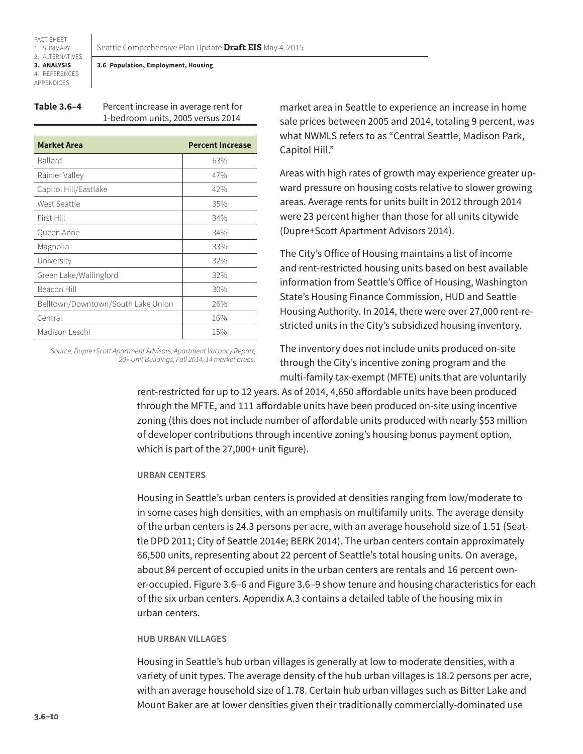#### <span id="page-9-0"></span>**3.6 Population, Employment, Housing**

| <b>Table 3.6-4</b> | Percent increase in average rent for |
|--------------------|--------------------------------------|
|                    | 1-bedroom units, 2005 versus 2014    |

| <b>Market Area</b>                 | <b>Percent Increase</b> |
|------------------------------------|-------------------------|
| <b>Ballard</b>                     | 63%                     |
| Rainier Valley                     | 47%                     |
| Capitol Hill/Eastlake              | 42%                     |
| West Seattle                       | 35%                     |
| First Hill                         | 34%                     |
| Queen Anne                         | 34%                     |
| Magnolia                           | 33%                     |
| University                         | 32%                     |
| Green Lake/Wallingford             | 32%                     |
| Beacon Hill                        | 30%                     |
| Belltown/Downtown/South Lake Union | 26%                     |
| Central                            | 16%                     |
| Madison Leschi                     | 15%                     |

*Source: Dupre+Scott Apartment Advisors, Apartment Vacancy Report, 20+ Unit Buildings, Fall 2014, 14 market areas.* market area in Seattle to experience an increase in home sale prices between 2005 and 2014, totaling 9 percent, was what NWMLS refers to as "Central Seattle, Madison Park, Capitol Hill."

Areas with high rates of growth may experience greater upward pressure on housing costs relative to slower growing areas. Average rents for units built in 2012 through 2014 were 23 percent higher than those for all units citywide (Dupre+Scott Apartment Advisors 2014).

The City's Office of Housing maintains a list of income and rent-restricted housing units based on best available information from Seattle's Office of Housing, Washington State's Housing Finance Commission, HUD and Seattle Housing Authority. In 2014, there were over 27,000 rent-restricted units in the City's subsidized housing inventory.

The inventory does not include units produced on-site through the City's incentive zoning program and the multi-family tax-exempt (MFTE) units that are voluntarily

rent-restricted for up to 12 years. As of 2014, 4,650 affordable units have been produced through the MFTE, and 111 affordable units have been produced on-site using incentive zoning (this does not include number of affordable units produced with nearly \$53 million of developer contributions through incentive zoning's housing bonus payment option, which is part of the 27,000+ unit figure).

#### **URBAN CENTERS**

Housing in Seattle's urban centers is provided at densities ranging from low/moderate to in some cases high densities, with an emphasis on multifamily units. The average density of the urban centers is 24.3 persons per acre, with an average household size of 1.51 (Seattle DPD 2011; City of Seattle 2014e; BERK 2014). The urban centers contain approximately 66,500 units, representing about 22 percent of Seattle's total housing units. On average, about 84 percent of occupied units in the urban centers are rentals and 16 percent owner-occupied. [Figure 3.6–6](#page-5-1) and [Figure 3.6–9](#page-10-0) show tenure and housing characteristics for each of the six urban centers. Appendix A.3 contains a detailed table of the housing mix in urban centers.

#### **HUB URBAN VILLAGES**

Housing in Seattle's hub urban villages is generally at low to moderate densities, with a variety of unit types. The average density of the hub urban villages is 18.2 persons per acre, with an average household size of 1.78. Certain hub urban villages such as Bitter Lake and Mount Baker are at lower densities given their traditionally commercially-dominated use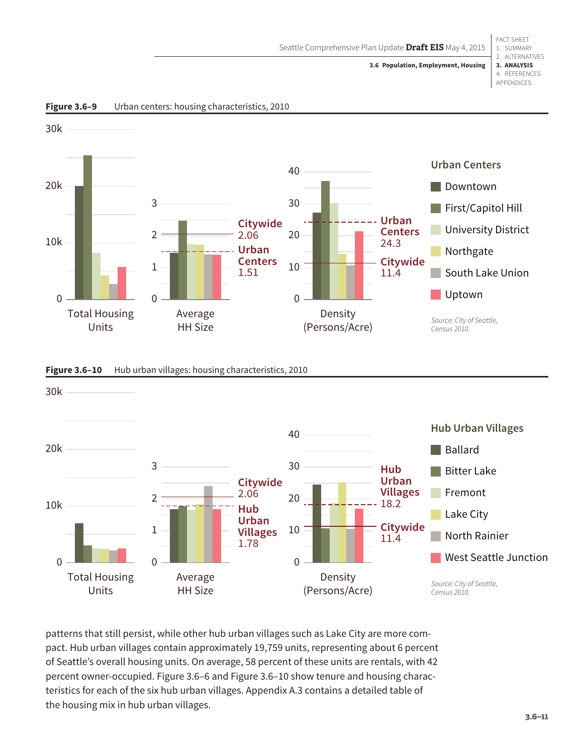<span id="page-10-0"></span>Seattle Comprehensive Plan Update **Draft EIS** May 4, 2015

#### 1. SUMMARY 2. ALTERNATIVES **3. ANALYSIS** 4. REFERENCES APPENDICES **3.6 Population, Employment, Housing**

FACT SHEET



**Figure 3.6–9** Urban centers: housing characteristics, 2010



<span id="page-10-1"></span>Figure 3.6-10 Hub urban villages: housing characteristics, 2010

patterns that still persist, while other hub urban villages such as Lake City are more compact. Hub urban villages contain approximately 19,759 units, representing about 6 percent of Seattle's overall housing units. On average, 58 percent of these units are rentals, with 42 percent owner-occupied. [Figure 3.6–6](#page-5-1) and [Figure 3.6–10](#page-10-1) show tenure and housing characteristics for each of the six hub urban villages. Appendix A.3 contains a detailed table of the housing mix in hub urban villages.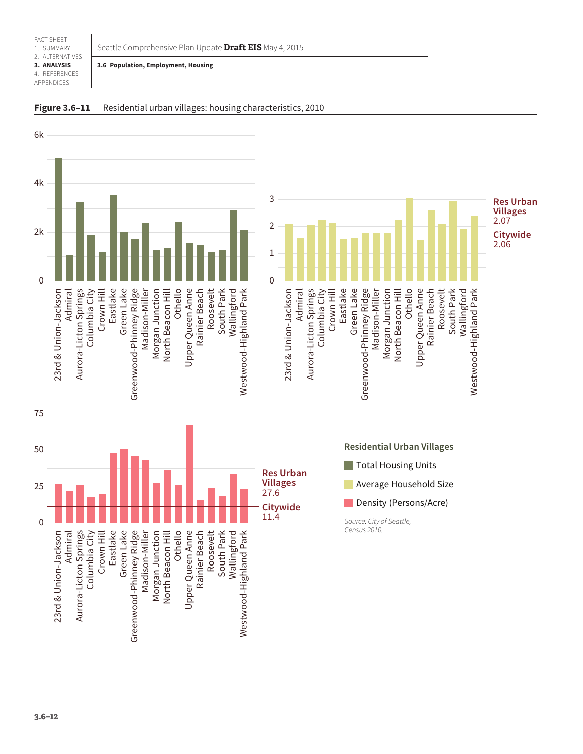<span id="page-11-0"></span>Seattle Comprehensive Plan Update **Draft EIS** May 4, 2015

#### **3.6 Population, Employment, Housing**



**Figure 3.6–11** Residential urban villages: housing characteristics, 2010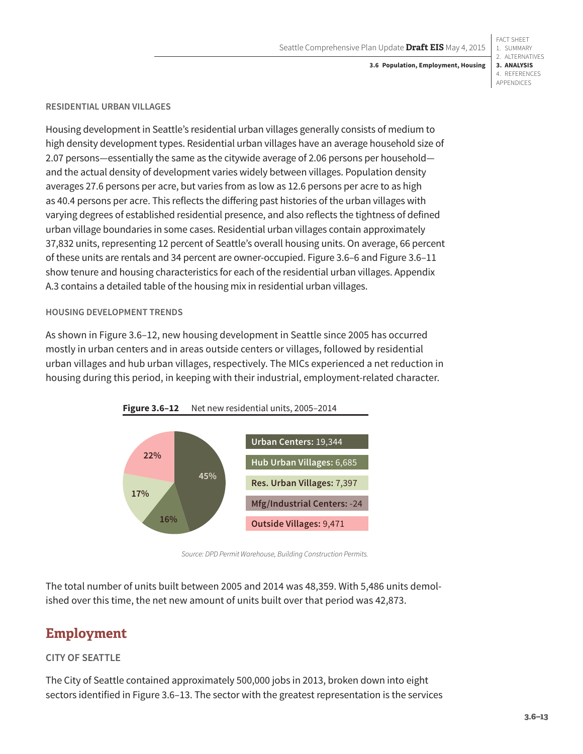#### **3.6 Population, Employment, Housing**

#### **RESIDENTIAL URBAN VILLAGES**

Housing development in Seattle's residential urban villages generally consists of medium to high density development types. Residential urban villages have an average household size of 2.07 persons—essentially the same as the citywide average of 2.06 persons per household and the actual density of development varies widely between villages. Population density averages 27.6 persons per acre, but varies from as low as 12.6 persons per acre to as high as 40.4 persons per acre. This reflects the differing past histories of the urban villages with varying degrees of established residential presence, and also reflects the tightness of defined urban village boundaries in some cases. Residential urban villages contain approximately 37,832 units, representing 12 percent of Seattle's overall housing units. On average, 66 percent of these units are rentals and 34 percent are owner-occupied. [Figure 3.6–6](#page-5-1) and [Figure 3.6–11](#page-11-0) show tenure and housing characteristics for each of the residential urban villages. Appendix A.3 contains a detailed table of the housing mix in residential urban villages.

#### **HOUSING DEVELOPMENT TRENDS**

As shown in [Figure 3.6–12](#page-12-0), new housing development in Seattle since 2005 has occurred mostly in urban centers and in areas outside centers or villages, followed by residential urban villages and hub urban villages, respectively. The MICs experienced a net reduction in housing during this period, in keeping with their industrial, employment-related character.

<span id="page-12-0"></span>

*Source: DPD Permit Warehouse, Building Construction Permits.*

The total number of units built between 2005 and 2014 was 48,359. With 5,486 units demolished over this time, the net new amount of units built over that period was 42,873.

## **Employment**

### **CITY OF SEATTLE**

The City of Seattle contained approximately 500,000 jobs in 2013, broken down into eight sectors identified in [Figure 3.6–13.](#page-13-0) The sector with the greatest representation is the services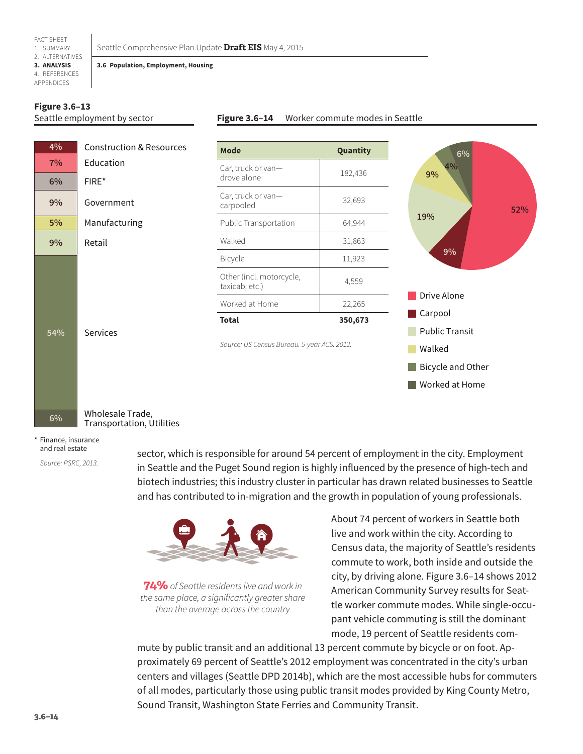#### **3.6 Population, Employment, Housing**

#### **Figure 3.6–13** Seattle employment by sector

#### <span id="page-13-0"></span>**Figure 3.6–14** Worker commute modes in Seattle



Transportation, Utilities

#### \* Finance, insurance and real estate

*Source: PSRC, 2013.*

sector, which is responsible for around 54 percent of employment in the city. Employment in Seattle and the Puget Sound region is highly influenced by the presence of high-tech and biotech industries; this industry cluster in particular has drawn related businesses to Seattle and has contributed to in-migration and the growth in population of young professionals.



**74%** of Seattle residents live and work in *the same place, a significantly greater share than the average across the country*

About 74 percent of workers in Seattle both live and work within the city. According to Census data, the majority of Seattle's residents commute to work, both inside and outside the city, by driving alone. Figure 3.6–14 shows 2012 American Community Survey results for Seattle worker commute modes. While single-occupant vehicle commuting is still the dominant mode, 19 percent of Seattle residents com-

mute by public transit and an additional 13 percent commute by bicycle or on foot. Approximately 69 percent of Seattle's 2012 employment was concentrated in the city's urban centers and villages (Seattle DPD 2014b), which are the most accessible hubs for commuters of all modes, particularly those using public transit modes provided by King County Metro, Sound Transit, Washington State Ferries and Community Transit.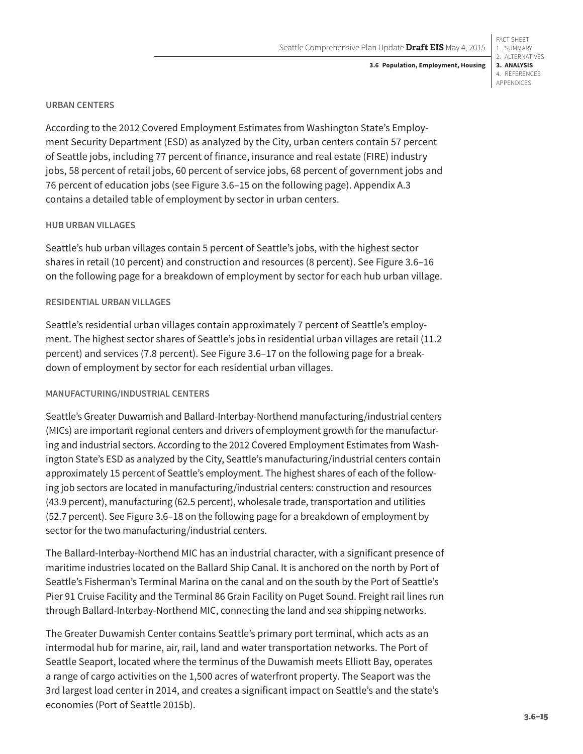#### **URBAN CENTERS**

According to the 2012 Covered Employment Estimates from Washington State's Employment Security Department (ESD) as analyzed by the City, urban centers contain 57 percent of Seattle jobs, including 77 percent of finance, insurance and real estate (FIRE) industry jobs, 58 percent of retail jobs, 60 percent of service jobs, 68 percent of government jobs and 76 percent of education jobs (see [Figure 3.6–15](#page-15-0) on the following page). Appendix A.3 contains a detailed table of employment by sector in urban centers.

### **HUB URBAN VILLAGES**

Seattle's hub urban villages contain 5 percent of Seattle's jobs, with the highest sector shares in retail (10 percent) and construction and resources (8 percent). See [Figure 3.6–16](#page-15-1) on the following page for a breakdown of employment by sector for each hub urban village.

#### **RESIDENTIAL URBAN VILLAGES**

Seattle's residential urban villages contain approximately 7 percent of Seattle's employment. The highest sector shares of Seattle's jobs in residential urban villages are retail (11.2 percent) and services (7.8 percent). See [Figure 3.6–17](#page-15-2) on the following page for a breakdown of employment by sector for each residential urban villages.

### **MANUFACTURING/INDUSTRIAL CENTERS**

Seattle's Greater Duwamish and Ballard-Interbay-Northend manufacturing/industrial centers (MICs) are important regional centers and drivers of employment growth for the manufacturing and industrial sectors. According to the 2012 Covered Employment Estimates from Washington State's ESD as analyzed by the City, Seattle's manufacturing/industrial centers contain approximately 15 percent of Seattle's employment. The highest shares of each of the following job sectors are located in manufacturing/industrial centers: construction and resources (43.9 percent), manufacturing (62.5 percent), wholesale trade, transportation and utilities (52.7 percent). See [Figure 3.6–18](#page-15-3) on the following page for a breakdown of employment by sector for the two manufacturing/industrial centers.

The Ballard-Interbay-Northend MIC has an industrial character, with a significant presence of maritime industries located on the Ballard Ship Canal. It is anchored on the north by Port of Seattle's Fisherman's Terminal Marina on the canal and on the south by the Port of Seattle's Pier 91 Cruise Facility and the Terminal 86 Grain Facility on Puget Sound. Freight rail lines run through Ballard-Interbay-Northend MIC, connecting the land and sea shipping networks.

The Greater Duwamish Center contains Seattle's primary port terminal, which acts as an intermodal hub for marine, air, rail, land and water transportation networks. The Port of Seattle Seaport, located where the terminus of the Duwamish meets Elliott Bay, operates a range of cargo activities on the 1,500 acres of waterfront property. The Seaport was the 3rd largest load center in 2014, and creates a significant impact on Seattle's and the state's economies (Port of Seattle 2015b).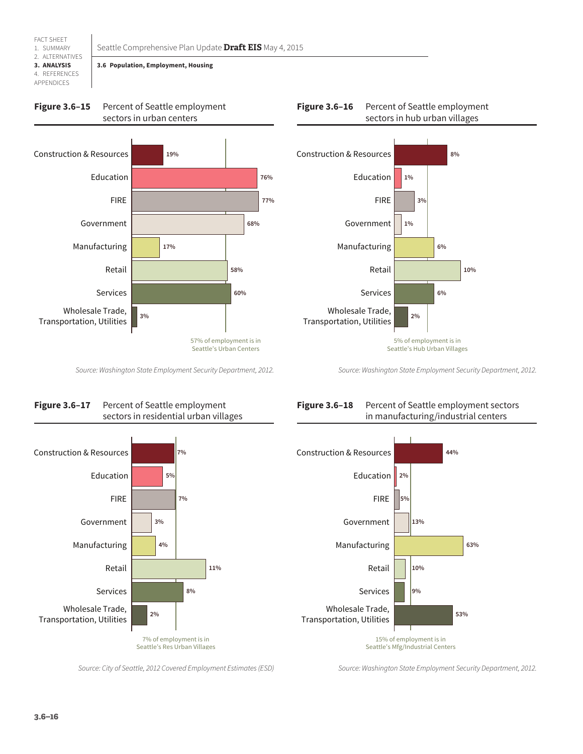

FACT SHEET

## <span id="page-15-0"></span>**3.6 Population, Employment, Housing**







<span id="page-15-1"></span>

<span id="page-15-2"></span>*Source: Washington State Employment Security Department, 2012.*





## Figure 3.6-18 Percent of Seattle employment sectors in manufacturing/industrial centers

<span id="page-15-3"></span>*Source: Washington State Employment Security Department, 2012.*



*Source: City of Seattle, 2012 Covered Employment Estimates (ESD)*

*Source: Washington State Employment Security Department, 2012.*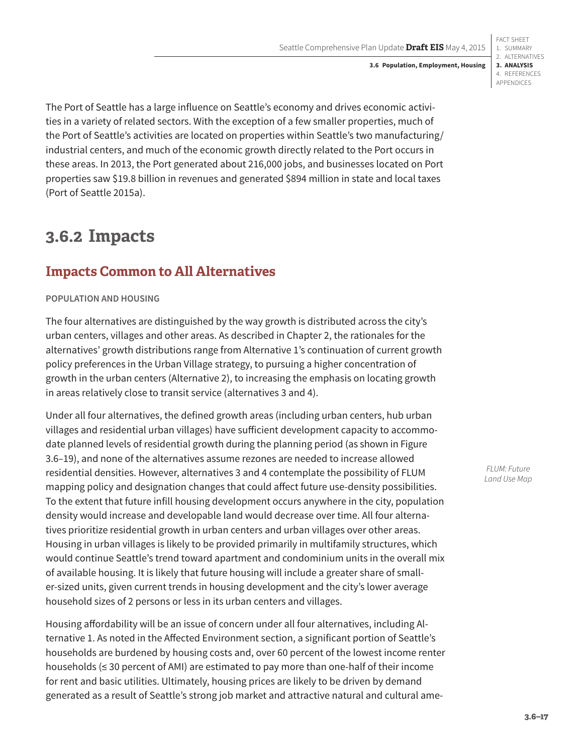FACT SHEET 1. SUMMARY 2. ALTERNATIVES **3. ANALYSIS** 4. REFERENCES APPENDICES

The Port of Seattle has a large influence on Seattle's economy and drives economic activities in a variety of related sectors. With the exception of a few smaller properties, much of the Port of Seattle's activities are located on properties within Seattle's two manufacturing/ industrial centers, and much of the economic growth directly related to the Port occurs in these areas. In 2013, the Port generated about 216,000 jobs, and businesses located on Port properties saw \$19.8 billion in revenues and generated \$894 million in state and local taxes (Port of Seattle 2015a).

# **3.6.2 Impacts**

## **Impacts Common to All Alternatives**

### **POPULATION AND HOUSING**

The four alternatives are distinguished by the way growth is distributed across the city's urban centers, villages and other areas. As described in Chapter 2, the rationales for the alternatives' growth distributions range from Alternative 1's continuation of current growth policy preferences in the Urban Village strategy, to pursuing a higher concentration of growth in the urban centers (Alternative 2), to increasing the emphasis on locating growth in areas relatively close to transit service (alternatives 3 and 4).

Under all four alternatives, the defined growth areas (including urban centers, hub urban villages and residential urban villages) have sufficient development capacity to accommodate planned levels of residential growth during the planning period (as shown in [Figure](#page-17-0)  [3.6–19](#page-17-0)), and none of the alternatives assume rezones are needed to increase allowed residential densities. However, alternatives 3 and 4 contemplate the possibility of FLUM mapping policy and designation changes that could affect future use-density possibilities. To the extent that future infill housing development occurs anywhere in the city, population density would increase and developable land would decrease over time. All four alternatives prioritize residential growth in urban centers and urban villages over other areas. Housing in urban villages is likely to be provided primarily in multifamily structures, which would continue Seattle's trend toward apartment and condominium units in the overall mix of available housing. It is likely that future housing will include a greater share of smaller-sized units, given current trends in housing development and the city's lower average household sizes of 2 persons or less in its urban centers and villages.

Housing affordability will be an issue of concern under all four alternatives, including Alternative 1. As noted in the Affected Environment section, a significant portion of Seattle's households are burdened by housing costs and, over 60 percent of the lowest income renter households (≤ 30 percent of AMI) are estimated to pay more than one-half of their income for rent and basic utilities. Ultimately, housing prices are likely to be driven by demand generated as a result of Seattle's strong job market and attractive natural and cultural ame-

*FLUM: Future Land Use Map*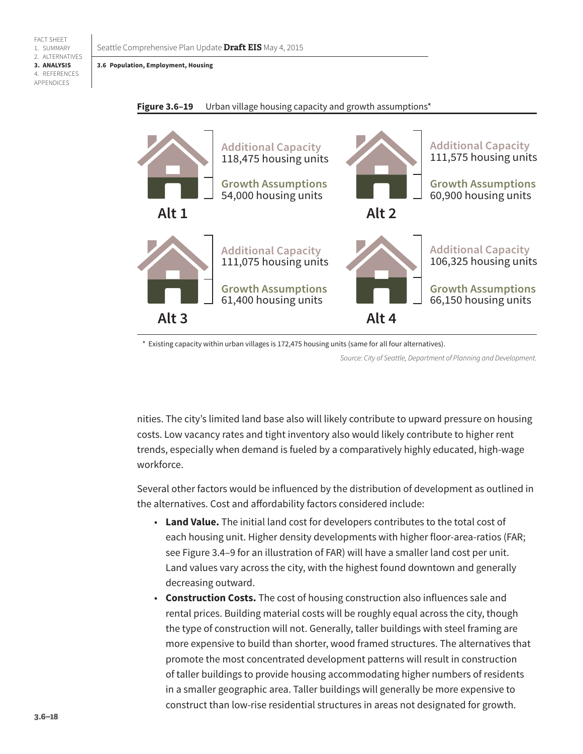Seattle Comprehensive Plan Update **Draft EIS** May 4, 2015

**3.6 Population, Employment, Housing**

FACT SHEET 1. SUMMARY 2. ALTERNATIVES **3. ANALYSIS** 4. REFERENCES APPENDICES



<span id="page-17-0"></span>

\* Existing capacity within urban villages is 172,475 housing units (same for all four alternatives).

*Source: City of Seattle, Department of Planning and Development.*

nities. The city's limited land base also will likely contribute to upward pressure on housing costs. Low vacancy rates and tight inventory also would likely contribute to higher rent trends, especially when demand is fueled by a comparatively highly educated, high-wage workforce.

Several other factors would be influenced by the distribution of development as outlined in the alternatives. Cost and affordability factors considered include:

- **Land Value.** The initial land cost for developers contributes to the total cost of each housing unit. Higher density developments with higher floor-area-ratios (FAR; see Figure 3.4–9 for an illustration of FAR) will have a smaller land cost per unit. Land values vary across the city, with the highest found downtown and generally decreasing outward.
- **Construction Costs.** The cost of housing construction also influences sale and rental prices. Building material costs will be roughly equal across the city, though the type of construction will not. Generally, taller buildings with steel framing are more expensive to build than shorter, wood framed structures. The alternatives that promote the most concentrated development patterns will result in construction of taller buildings to provide housing accommodating higher numbers of residents in a smaller geographic area. Taller buildings will generally be more expensive to construct than low-rise residential structures in areas not designated for growth.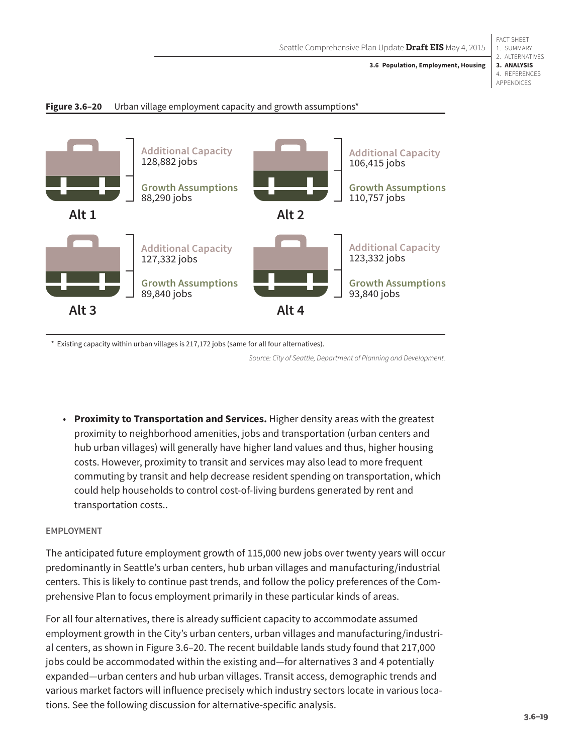FACT SHEET 1. SUMMARY 2. ALTERNATIVES **3. ANALYSIS** 4. REFERENCES APPENDICES

<span id="page-18-0"></span>



\* Existing capacity within urban villages is 217,172 jobs (same for all four alternatives).

*Source: City of Seattle, Department of Planning and Development.*

• **Proximity to Transportation and Services.** Higher density areas with the greatest proximity to neighborhood amenities, jobs and transportation (urban centers and hub urban villages) will generally have higher land values and thus, higher housing costs. However, proximity to transit and services may also lead to more frequent commuting by transit and help decrease resident spending on transportation, which could help households to control cost-of-living burdens generated by rent and transportation costs..

#### **EMPLOYMENT**

The anticipated future employment growth of 115,000 new jobs over twenty years will occur predominantly in Seattle's urban centers, hub urban villages and manufacturing/industrial centers. This is likely to continue past trends, and follow the policy preferences of the Comprehensive Plan to focus employment primarily in these particular kinds of areas.

For all four alternatives, there is already sufficient capacity to accommodate assumed employment growth in the City's urban centers, urban villages and manufacturing/industrial centers, as shown in [Figure 3.6–20](#page-18-0). The recent buildable lands study found that 217,000 jobs could be accommodated within the existing and—for alternatives 3 and 4 potentially expanded—urban centers and hub urban villages. Transit access, demographic trends and various market factors will influence precisely which industry sectors locate in various locations. See the following discussion for alternative-specific analysis.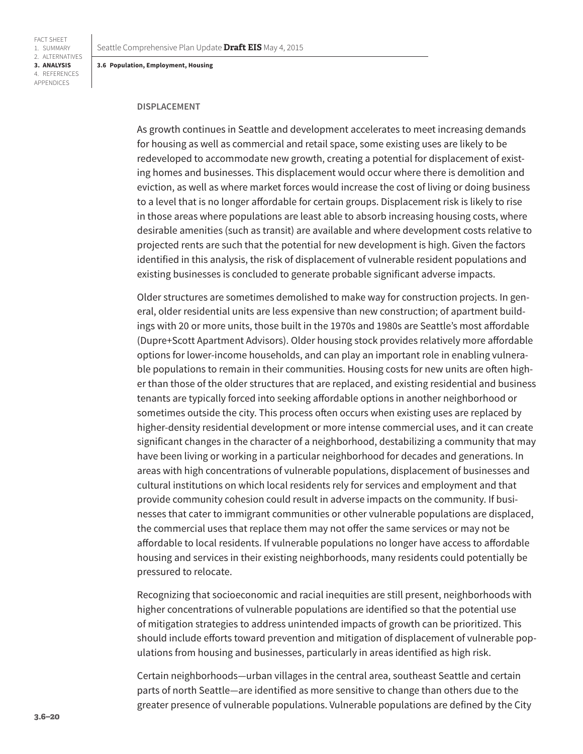#### **DISPLACEMENT**

As growth continues in Seattle and development accelerates to meet increasing demands for housing as well as commercial and retail space, some existing uses are likely to be redeveloped to accommodate new growth, creating a potential for displacement of existing homes and businesses. This displacement would occur where there is demolition and eviction, as well as where market forces would increase the cost of living or doing business to a level that is no longer affordable for certain groups. Displacement risk is likely to rise in those areas where populations are least able to absorb increasing housing costs, where desirable amenities (such as transit) are available and where development costs relative to projected rents are such that the potential for new development is high. Given the factors identified in this analysis, the risk of displacement of vulnerable resident populations and existing businesses is concluded to generate probable significant adverse impacts.

Older structures are sometimes demolished to make way for construction projects. In general, older residential units are less expensive than new construction; of apartment buildings with 20 or more units, those built in the 1970s and 1980s are Seattle's most affordable (Dupre+Scott Apartment Advisors). Older housing stock provides relatively more affordable options for lower-income households, and can play an important role in enabling vulnerable populations to remain in their communities. Housing costs for new units are often higher than those of the older structures that are replaced, and existing residential and business tenants are typically forced into seeking affordable options in another neighborhood or sometimes outside the city. This process often occurs when existing uses are replaced by higher-density residential development or more intense commercial uses, and it can create significant changes in the character of a neighborhood, destabilizing a community that may have been living or working in a particular neighborhood for decades and generations. In areas with high concentrations of vulnerable populations, displacement of businesses and cultural institutions on which local residents rely for services and employment and that provide community cohesion could result in adverse impacts on the community. If businesses that cater to immigrant communities or other vulnerable populations are displaced, the commercial uses that replace them may not offer the same services or may not be affordable to local residents. If vulnerable populations no longer have access to affordable housing and services in their existing neighborhoods, many residents could potentially be pressured to relocate.

Recognizing that socioeconomic and racial inequities are still present, neighborhoods with higher concentrations of vulnerable populations are identified so that the potential use of mitigation strategies to address unintended impacts of growth can be prioritized. This should include efforts toward prevention and mitigation of displacement of vulnerable populations from housing and businesses, particularly in areas identified as high risk.

Certain neighborhoods—urban villages in the central area, southeast Seattle and certain parts of north Seattle—are identified as more sensitive to change than others due to the greater presence of vulnerable populations. Vulnerable populations are defined by the City

FACT SHEET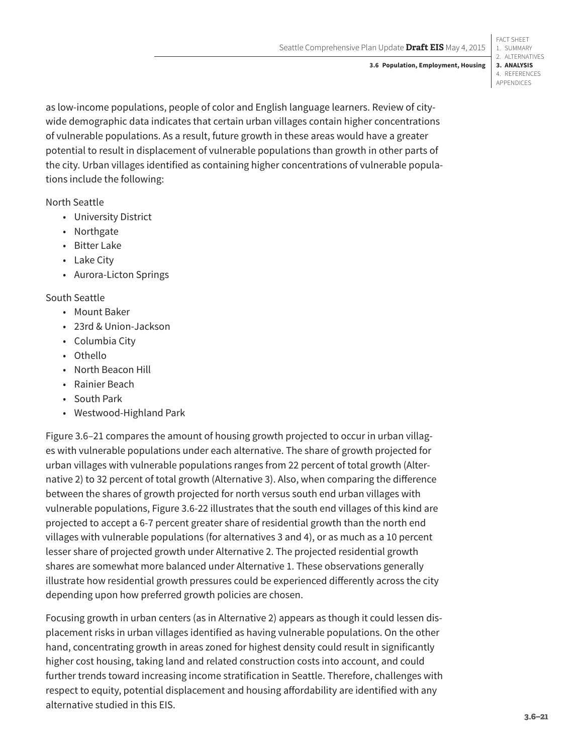as low-income populations, people of color and English language learners. Review of citywide demographic data indicates that certain urban villages contain higher concentrations of vulnerable populations. As a result, future growth in these areas would have a greater potential to result in displacement of vulnerable populations than growth in other parts of the city. Urban villages identified as containing higher concentrations of vulnerable populations include the following:

North Seattle

- University District
- Northgate
- Bitter Lake
- Lake City
- Aurora-Licton Springs

### South Seattle

- Mount Baker
- 23rd & Union-Jackson
- Columbia City
- Othello
- North Beacon Hill
- Rainier Beach
- South Park
- Westwood-Highland Park

[Figure 3.6–21](#page-21-0) compares the amount of housing growth projected to occur in urban villages with vulnerable populations under each alternative. The share of growth projected for urban villages with vulnerable populations ranges from 22 percent of total growth (Alternative 2) to 32 percent of total growth (Alternative 3). Also, when comparing the difference between the shares of growth projected for north versus south end urban villages with vulnerable populations, Figure 3.6-22 illustrates that the south end villages of this kind are projected to accept a 6-7 percent greater share of residential growth than the north end villages with vulnerable populations (for alternatives 3 and 4), or as much as a 10 percent lesser share of projected growth under Alternative 2. The projected residential growth shares are somewhat more balanced under Alternative 1. These observations generally illustrate how residential growth pressures could be experienced differently across the city depending upon how preferred growth policies are chosen.

Focusing growth in urban centers (as in Alternative 2) appears as though it could lessen displacement risks in urban villages identified as having vulnerable populations. On the other hand, concentrating growth in areas zoned for highest density could result in significantly higher cost housing, taking land and related construction costs into account, and could further trends toward increasing income stratification in Seattle. Therefore, challenges with respect to equity, potential displacement and housing affordability are identified with any alternative studied in this EIS.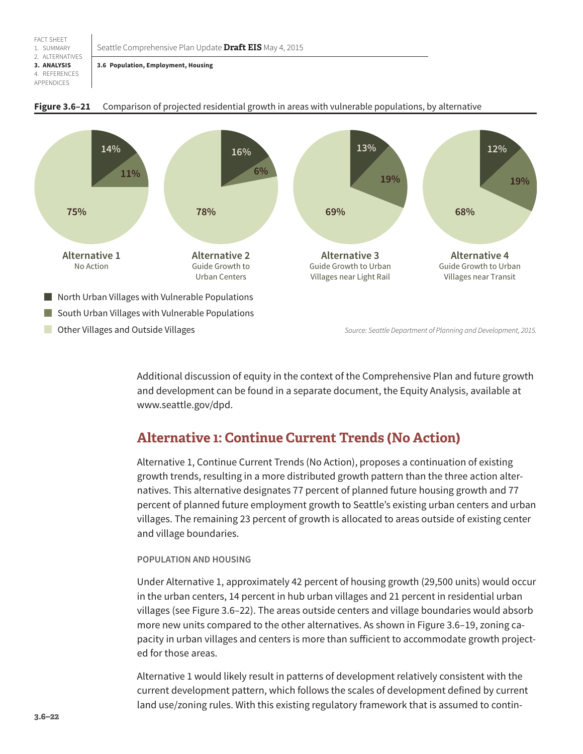<span id="page-21-0"></span>Seattle Comprehensive Plan Update **Draft EIS** May 4, 2015

**3.6 Population, Employment, Housing**



#### **Figure 3.6–21** Comparison of projected residential growth in areas with vulnerable populations, by alternative

Additional discussion of equity in the context of the Comprehensive Plan and future growth and development can be found in a separate document, the Equity Analysis, available at <www.seattle.gov/dpd>.

## **Alternative 1: Continue Current Trends (No Action)**

Alternative 1, Continue Current Trends (No Action), proposes a continuation of existing growth trends, resulting in a more distributed growth pattern than the three action alternatives. This alternative designates 77 percent of planned future housing growth and 77 percent of planned future employment growth to Seattle's existing urban centers and urban villages. The remaining 23 percent of growth is allocated to areas outside of existing center and village boundaries.

#### **POPULATION AND HOUSING**

Under Alternative 1, approximately 42 percent of housing growth (29,500 units) would occur in the urban centers, 14 percent in hub urban villages and 21 percent in residential urban villages (see [Figure 3.6–22\)](#page-22-0). The areas outside centers and village boundaries would absorb more new units compared to the other alternatives. As shown in [Figure 3.6–19](#page-17-0), zoning capacity in urban villages and centers is more than sufficient to accommodate growth projected for those areas.

Alternative 1 would likely result in patterns of development relatively consistent with the current development pattern, which follows the scales of development defined by current land use/zoning rules. With this existing regulatory framework that is assumed to contin-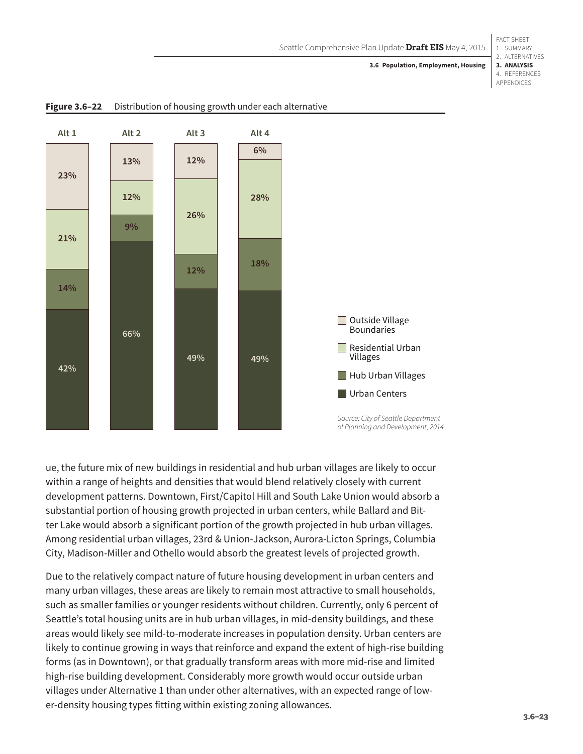#### 1. SUMMARY 2. ALTERNATIVES **3. ANALYSIS** 4. REFERENCES **3.6 Population, Employment, Housing**

FACT SHEET

APPENDICES



<span id="page-22-0"></span>**Figure 3.6–22** Distribution of housing growth under each alternative

ue, the future mix of new buildings in residential and hub urban villages are likely to occur within a range of heights and densities that would blend relatively closely with current development patterns. Downtown, First/Capitol Hill and South Lake Union would absorb a substantial portion of housing growth projected in urban centers, while Ballard and Bitter Lake would absorb a significant portion of the growth projected in hub urban villages. Among residential urban villages, 23rd & Union-Jackson, Aurora-Licton Springs, Columbia City, Madison-Miller and Othello would absorb the greatest levels of projected growth.

Due to the relatively compact nature of future housing development in urban centers and many urban villages, these areas are likely to remain most attractive to small households, such as smaller families or younger residents without children. Currently, only 6 percent of Seattle's total housing units are in hub urban villages, in mid-density buildings, and these areas would likely see mild-to-moderate increases in population density. Urban centers are likely to continue growing in ways that reinforce and expand the extent of high-rise building forms (as in Downtown), or that gradually transform areas with more mid-rise and limited high-rise building development. Considerably more growth would occur outside urban villages under Alternative 1 than under other alternatives, with an expected range of lower-density housing types fitting within existing zoning allowances.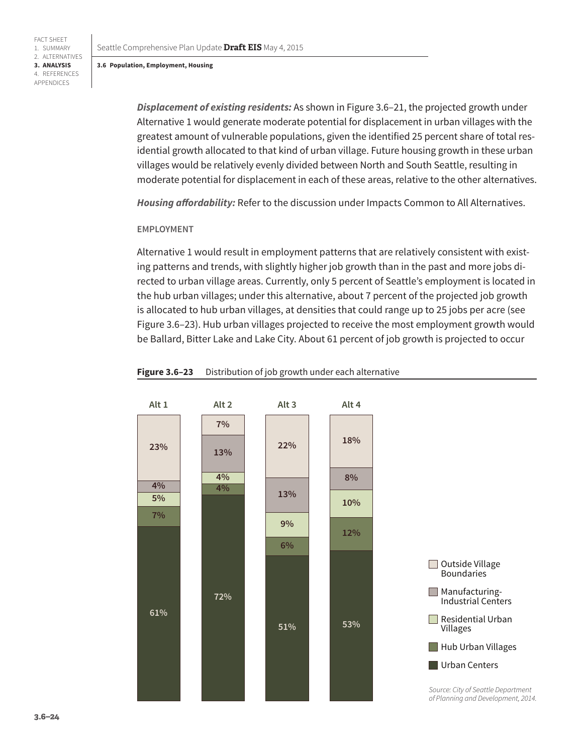**3. ANALYSIS** 4. REFERENCES APPENDICES

FACT SHEET 1. SUMMARY 2. ALTERNATIVES

> *Displacement of existing residents:* As shown in [Figure 3.6–21](#page-21-0), the projected growth under Alternative 1 would generate moderate potential for displacement in urban villages with the greatest amount of vulnerable populations, given the identified 25 percent share of total residential growth allocated to that kind of urban village. Future housing growth in these urban villages would be relatively evenly divided between North and South Seattle, resulting in moderate potential for displacement in each of these areas, relative to the other alternatives.

*Housing affordability:* Refer to the discussion under Impacts Common to All Alternatives.

#### **EMPLOYMENT**

Alternative 1 would result in employment patterns that are relatively consistent with existing patterns and trends, with slightly higher job growth than in the past and more jobs directed to urban village areas. Currently, only 5 percent of Seattle's employment is located in the hub urban villages; under this alternative, about 7 percent of the projected job growth is allocated to hub urban villages, at densities that could range up to 25 jobs per acre (see [Figure 3.6–23\)](#page-23-0). Hub urban villages projected to receive the most employment growth would be Ballard, Bitter Lake and Lake City. About 61 percent of job growth is projected to occur



#### <span id="page-23-0"></span>**Figure 3.6–23** Distribution of job growth under each alternative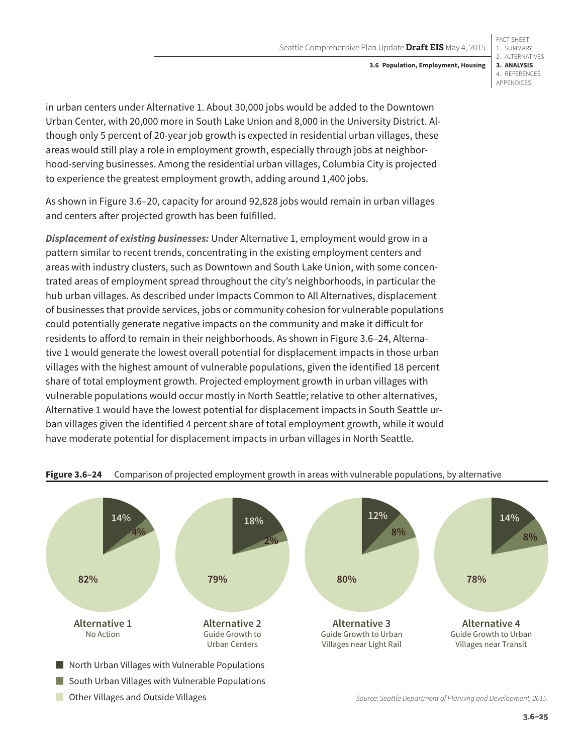#### 1. SUMMARY 2. ALTERNATIVES **3. ANALYSIS** 4. REFERENCES **3.6 Population, Employment, Housing**

FACT SHEET

APPENDICES

in urban centers under Alternative 1. About 30,000 jobs would be added to the Downtown Urban Center, with 20,000 more in South Lake Union and 8,000 in the University District. Although only 5 percent of 20-year job growth is expected in residential urban villages, these areas would still play a role in employment growth, especially through jobs at neighborhood-serving businesses. Among the residential urban villages, Columbia City is projected to experience the greatest employment growth, adding around 1,400 jobs.

As shown in [Figure 3.6–20](#page-18-0), capacity for around 92,828 jobs would remain in urban villages and centers after projected growth has been fulfilled.

*Displacement of existing businesses:* Under Alternative 1, employment would grow in a pattern similar to recent trends, concentrating in the existing employment centers and areas with industry clusters, such as Downtown and South Lake Union, with some concentrated areas of employment spread throughout the city's neighborhoods, in particular the hub urban villages. As described under Impacts Common to All Alternatives, displacement of businesses that provide services, jobs or community cohesion for vulnerable populations could potentially generate negative impacts on the community and make it difficult for residents to afford to remain in their neighborhoods. As shown in [Figure 3.6–24](#page-24-0), Alternative 1 would generate the lowest overall potential for displacement impacts in those urban villages with the highest amount of vulnerable populations, given the identified 18 percent share of total employment growth. Projected employment growth in urban villages with vulnerable populations would occur mostly in North Seattle; relative to other alternatives, Alternative 1 would have the lowest potential for displacement impacts in South Seattle urban villages given the identified 4 percent share of total employment growth, while it would have moderate potential for displacement impacts in urban villages in North Seattle.



### <span id="page-24-0"></span>**Figure 3.6–24** Comparison of projected employment growth in areas with vulnerable populations, by alternative

## **Other Villages and Outside Villages**

*Source: Seattle Department of Planning and Development, 2015.*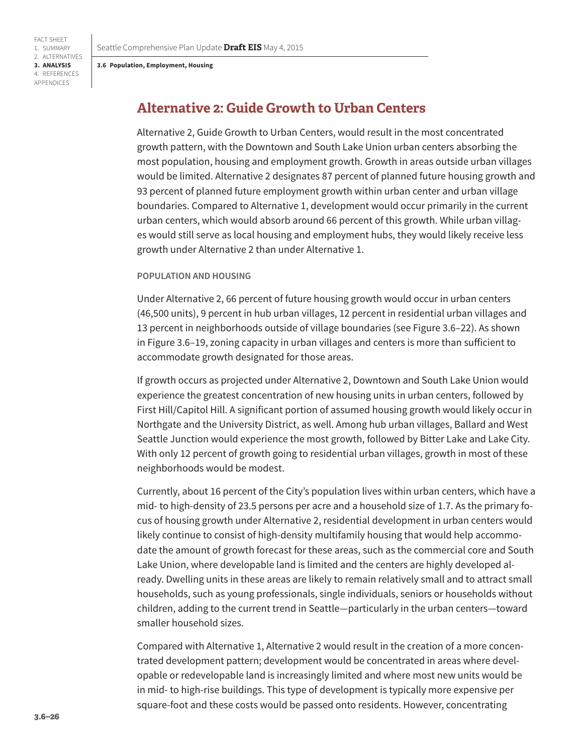FACT SHEET 1. SUMMARY 2. ALTERNATIVES **3. ANALYSIS** 4. REFERENCES APPENDICES

## **Alternative 2: Guide Growth to Urban Centers**

Alternative 2, Guide Growth to Urban Centers, would result in the most concentrated growth pattern, with the Downtown and South Lake Union urban centers absorbing the most population, housing and employment growth. Growth in areas outside urban villages would be limited. Alternative 2 designates 87 percent of planned future housing growth and 93 percent of planned future employment growth within urban center and urban village boundaries. Compared to Alternative 1, development would occur primarily in the current urban centers, which would absorb around 66 percent of this growth. While urban villages would still serve as local housing and employment hubs, they would likely receive less growth under Alternative 2 than under Alternative 1.

#### **POPULATION AND HOUSING**

Under Alternative 2, 66 percent of future housing growth would occur in urban centers (46,500 units), 9 percent in hub urban villages, 12 percent in residential urban villages and 13 percent in neighborhoods outside of village boundaries (see [Figure 3.6–22\)](#page-22-0). As shown in [Figure 3.6–19,](#page-17-0) zoning capacity in urban villages and centers is more than sufficient to accommodate growth designated for those areas.

If growth occurs as projected under Alternative 2, Downtown and South Lake Union would experience the greatest concentration of new housing units in urban centers, followed by First Hill/Capitol Hill. A significant portion of assumed housing growth would likely occur in Northgate and the University District, as well. Among hub urban villages, Ballard and West Seattle Junction would experience the most growth, followed by Bitter Lake and Lake City. With only 12 percent of growth going to residential urban villages, growth in most of these neighborhoods would be modest.

Currently, about 16 percent of the City's population lives within urban centers, which have a mid- to high-density of 23.5 persons per acre and a household size of 1.7. As the primary focus of housing growth under Alternative 2, residential development in urban centers would likely continue to consist of high-density multifamily housing that would help accommodate the amount of growth forecast for these areas, such as the commercial core and South Lake Union, where developable land is limited and the centers are highly developed already. Dwelling units in these areas are likely to remain relatively small and to attract small households, such as young professionals, single individuals, seniors or households without children, adding to the current trend in Seattle—particularly in the urban centers—toward smaller household sizes.

Compared with Alternative 1, Alternative 2 would result in the creation of a more concentrated development pattern; development would be concentrated in areas where developable or redevelopable land is increasingly limited and where most new units would be in mid- to high-rise buildings. This type of development is typically more expensive per square-foot and these costs would be passed onto residents. However, concentrating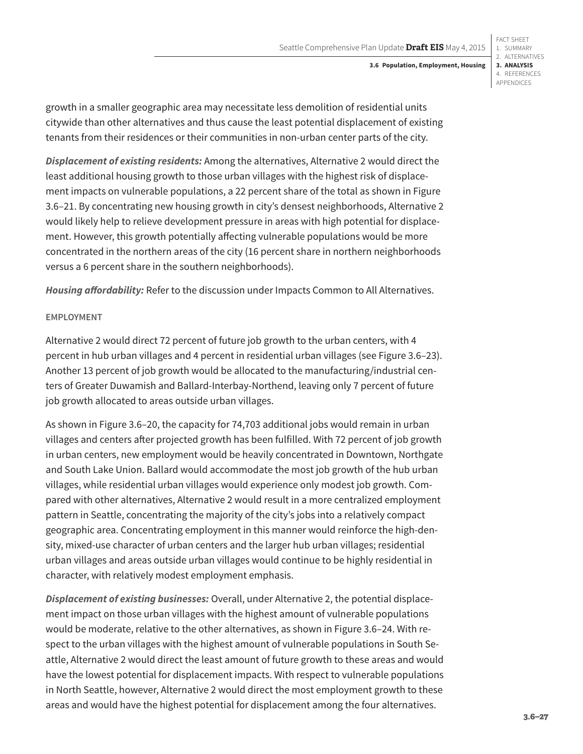FACT SHEET 1. SUMMARY 2. ALTERNATIVES **3. ANALYSIS** 4. REFERENCES APPENDICES

growth in a smaller geographic area may necessitate less demolition of residential units citywide than other alternatives and thus cause the least potential displacement of existing tenants from their residences or their communities in non-urban center parts of the city.

*Displacement of existing residents:* Among the alternatives, Alternative 2 would direct the least additional housing growth to those urban villages with the highest risk of displacement impacts on vulnerable populations, a 22 percent share of the total as shown in [Figure](#page-21-0)  [3.6–21.](#page-21-0) By concentrating new housing growth in city's densest neighborhoods, Alternative 2 would likely help to relieve development pressure in areas with high potential for displacement. However, this growth potentially affecting vulnerable populations would be more concentrated in the northern areas of the city (16 percent share in northern neighborhoods versus a 6 percent share in the southern neighborhoods).

*Housing affordability:* Refer to the discussion under Impacts Common to All Alternatives.

### **EMPLOYMENT**

Alternative 2 would direct 72 percent of future job growth to the urban centers, with 4 percent in hub urban villages and 4 percent in residential urban villages (see [Figure 3.6–23\)](#page-23-0). Another 13 percent of job growth would be allocated to the manufacturing/industrial centers of Greater Duwamish and Ballard-Interbay-Northend, leaving only 7 percent of future job growth allocated to areas outside urban villages.

As shown in [Figure 3.6–20](#page-18-0), the capacity for 74,703 additional jobs would remain in urban villages and centers after projected growth has been fulfilled. With 72 percent of job growth in urban centers, new employment would be heavily concentrated in Downtown, Northgate and South Lake Union. Ballard would accommodate the most job growth of the hub urban villages, while residential urban villages would experience only modest job growth. Compared with other alternatives, Alternative 2 would result in a more centralized employment pattern in Seattle, concentrating the majority of the city's jobs into a relatively compact geographic area. Concentrating employment in this manner would reinforce the high-density, mixed-use character of urban centers and the larger hub urban villages; residential urban villages and areas outside urban villages would continue to be highly residential in character, with relatively modest employment emphasis.

*Displacement of existing businesses:* Overall, under Alternative 2, the potential displacement impact on those urban villages with the highest amount of vulnerable populations would be moderate, relative to the other alternatives, as shown in [Figure 3.6–24](#page-24-0). With respect to the urban villages with the highest amount of vulnerable populations in South Seattle, Alternative 2 would direct the least amount of future growth to these areas and would have the lowest potential for displacement impacts. With respect to vulnerable populations in North Seattle, however, Alternative 2 would direct the most employment growth to these areas and would have the highest potential for displacement among the four alternatives.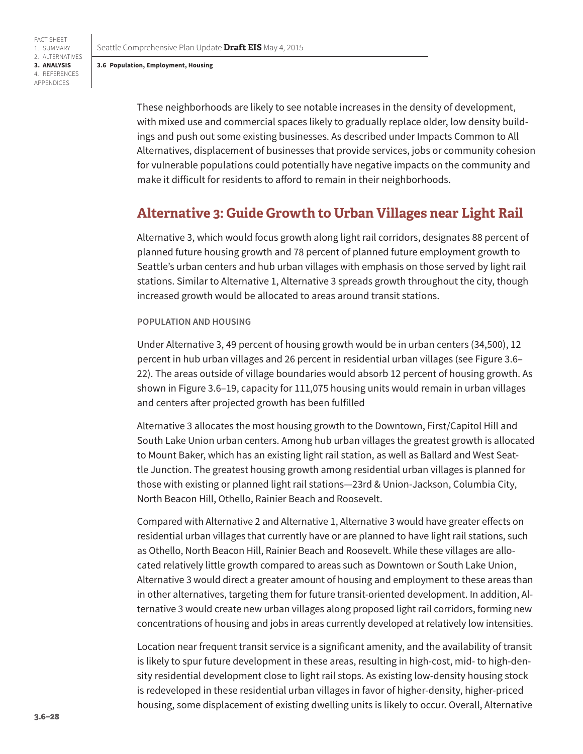Seattle Comprehensive Plan Update **Draft EIS** May 4, 2015

#### **3.6 Population, Employment, Housing**

FACT SHEET 1. SUMMARY 2. ALTERNATIVES **3. ANALYSIS** 4. REFERENCES APPENDICES

> These neighborhoods are likely to see notable increases in the density of development, with mixed use and commercial spaces likely to gradually replace older, low density buildings and push out some existing businesses. As described under Impacts Common to All Alternatives, displacement of businesses that provide services, jobs or community cohesion for vulnerable populations could potentially have negative impacts on the community and make it difficult for residents to afford to remain in their neighborhoods.

## **Alternative 3: Guide Growth to Urban Villages near Light Rail**

Alternative 3, which would focus growth along light rail corridors, designates 88 percent of planned future housing growth and 78 percent of planned future employment growth to Seattle's urban centers and hub urban villages with emphasis on those served by light rail stations. Similar to Alternative 1, Alternative 3 spreads growth throughout the city, though increased growth would be allocated to areas around transit stations.

#### **POPULATION AND HOUSING**

Under Alternative 3, 49 percent of housing growth would be in urban centers (34,500), 12 percent in hub urban villages and 26 percent in residential urban villages (see [Figure 3.6–](#page-22-0) [22\)](#page-22-0). The areas outside of village boundaries would absorb 12 percent of housing growth. As shown in [Figure 3.6–19](#page-17-0), capacity for 111,075 housing units would remain in urban villages and centers after projected growth has been fulfilled

Alternative 3 allocates the most housing growth to the Downtown, First/Capitol Hill and South Lake Union urban centers. Among hub urban villages the greatest growth is allocated to Mount Baker, which has an existing light rail station, as well as Ballard and West Seattle Junction. The greatest housing growth among residential urban villages is planned for those with existing or planned light rail stations—23rd & Union-Jackson, Columbia City, North Beacon Hill, Othello, Rainier Beach and Roosevelt.

Compared with Alternative 2 and Alternative 1, Alternative 3 would have greater effects on residential urban villages that currently have or are planned to have light rail stations, such as Othello, North Beacon Hill, Rainier Beach and Roosevelt. While these villages are allocated relatively little growth compared to areas such as Downtown or South Lake Union, Alternative 3 would direct a greater amount of housing and employment to these areas than in other alternatives, targeting them for future transit-oriented development. In addition, Alternative 3 would create new urban villages along proposed light rail corridors, forming new concentrations of housing and jobs in areas currently developed at relatively low intensities.

Location near frequent transit service is a significant amenity, and the availability of transit is likely to spur future development in these areas, resulting in high-cost, mid- to high-density residential development close to light rail stops. As existing low-density housing stock is redeveloped in these residential urban villages in favor of higher-density, higher-priced housing, some displacement of existing dwelling units is likely to occur. Overall, Alternative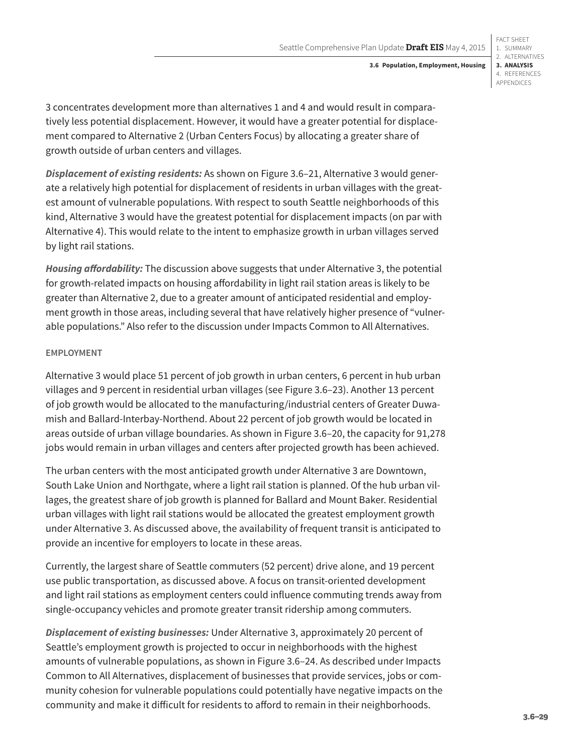1. SUMMARY 2. ALTERNATIVES **3. ANALYSIS** 4. REFERENCES APPENDICES **3.6 Population, Employment, Housing**

FACT SHEET

3 concentrates development more than alternatives 1 and 4 and would result in comparatively less potential displacement. However, it would have a greater potential for displacement compared to Alternative 2 (Urban Centers Focus) by allocating a greater share of growth outside of urban centers and villages.

*Displacement of existing residents:* As shown on [Figure 3.6–21](#page-21-0), Alternative 3 would generate a relatively high potential for displacement of residents in urban villages with the greatest amount of vulnerable populations. With respect to south Seattle neighborhoods of this kind, Alternative 3 would have the greatest potential for displacement impacts (on par with Alternative 4). This would relate to the intent to emphasize growth in urban villages served by light rail stations.

*Housing affordability:* The discussion above suggests that under Alternative 3, the potential for growth-related impacts on housing affordability in light rail station areas is likely to be greater than Alternative 2, due to a greater amount of anticipated residential and employment growth in those areas, including several that have relatively higher presence of "vulnerable populations." Also refer to the discussion under Impacts Common to All Alternatives.

### **EMPLOYMENT**

Alternative 3 would place 51 percent of job growth in urban centers, 6 percent in hub urban villages and 9 percent in residential urban villages (see [Figure 3.6–23](#page-23-0)). Another 13 percent of job growth would be allocated to the manufacturing/industrial centers of Greater Duwamish and Ballard-Interbay-Northend. About 22 percent of job growth would be located in areas outside of urban village boundaries. As shown in [Figure 3.6–20,](#page-18-0) the capacity for 91,278 jobs would remain in urban villages and centers after projected growth has been achieved.

The urban centers with the most anticipated growth under Alternative 3 are Downtown, South Lake Union and Northgate, where a light rail station is planned. Of the hub urban villages, the greatest share of job growth is planned for Ballard and Mount Baker. Residential urban villages with light rail stations would be allocated the greatest employment growth under Alternative 3. As discussed above, the availability of frequent transit is anticipated to provide an incentive for employers to locate in these areas.

Currently, the largest share of Seattle commuters (52 percent) drive alone, and 19 percent use public transportation, as discussed above. A focus on transit-oriented development and light rail stations as employment centers could influence commuting trends away from single-occupancy vehicles and promote greater transit ridership among commuters.

*Displacement of existing businesses:* Under Alternative 3, approximately 20 percent of Seattle's employment growth is projected to occur in neighborhoods with the highest amounts of vulnerable populations, as shown in [Figure 3.6–24](#page-24-0). As described under Impacts Common to All Alternatives, displacement of businesses that provide services, jobs or community cohesion for vulnerable populations could potentially have negative impacts on the community and make it difficult for residents to afford to remain in their neighborhoods.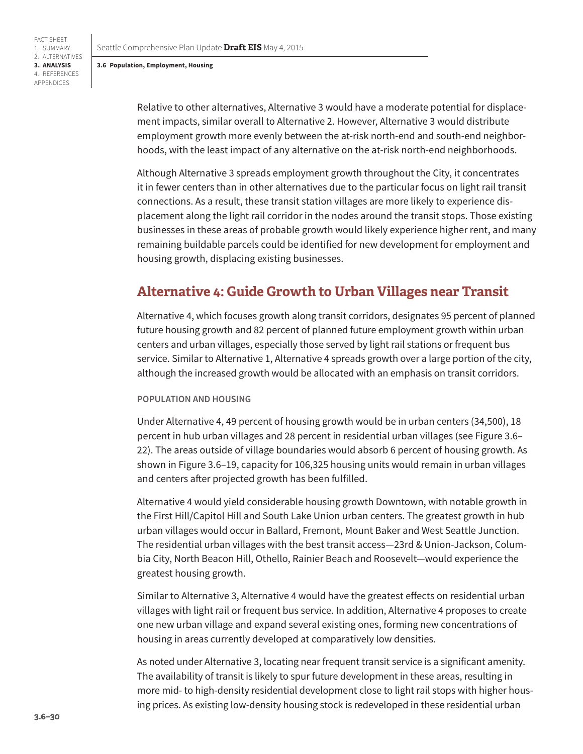FACT SHEET 1. SUMMARY 2. ALTERNATIVES **3. ANALYSIS** 4. REFERENCES APPENDICES

> Relative to other alternatives, Alternative 3 would have a moderate potential for displacement impacts, similar overall to Alternative 2. However, Alternative 3 would distribute employment growth more evenly between the at-risk north-end and south-end neighborhoods, with the least impact of any alternative on the at-risk north-end neighborhoods.

Although Alternative 3 spreads employment growth throughout the City, it concentrates it in fewer centers than in other alternatives due to the particular focus on light rail transit connections. As a result, these transit station villages are more likely to experience displacement along the light rail corridor in the nodes around the transit stops. Those existing businesses in these areas of probable growth would likely experience higher rent, and many remaining buildable parcels could be identified for new development for employment and housing growth, displacing existing businesses.

## **Alternative 4: Guide Growth to Urban Villages near Transit**

Alternative 4, which focuses growth along transit corridors, designates 95 percent of planned future housing growth and 82 percent of planned future employment growth within urban centers and urban villages, especially those served by light rail stations or frequent bus service. Similar to Alternative 1, Alternative 4 spreads growth over a large portion of the city, although the increased growth would be allocated with an emphasis on transit corridors.

#### **POPULATION AND HOUSING**

Under Alternative 4, 49 percent of housing growth would be in urban centers (34,500), 18 percent in hub urban villages and 28 percent in residential urban villages (see [Figure 3.6–](#page-22-0) [22\)](#page-22-0). The areas outside of village boundaries would absorb 6 percent of housing growth. As shown in [Figure 3.6–19](#page-17-0), capacity for 106,325 housing units would remain in urban villages and centers after projected growth has been fulfilled.

Alternative 4 would yield considerable housing growth Downtown, with notable growth in the First Hill/Capitol Hill and South Lake Union urban centers. The greatest growth in hub urban villages would occur in Ballard, Fremont, Mount Baker and West Seattle Junction. The residential urban villages with the best transit access—23rd & Union-Jackson, Columbia City, North Beacon Hill, Othello, Rainier Beach and Roosevelt—would experience the greatest housing growth.

Similar to Alternative 3, Alternative 4 would have the greatest effects on residential urban villages with light rail or frequent bus service. In addition, Alternative 4 proposes to create one new urban village and expand several existing ones, forming new concentrations of housing in areas currently developed at comparatively low densities.

As noted under Alternative 3, locating near frequent transit service is a significant amenity. The availability of transit is likely to spur future development in these areas, resulting in more mid- to high-density residential development close to light rail stops with higher housing prices. As existing low-density housing stock is redeveloped in these residential urban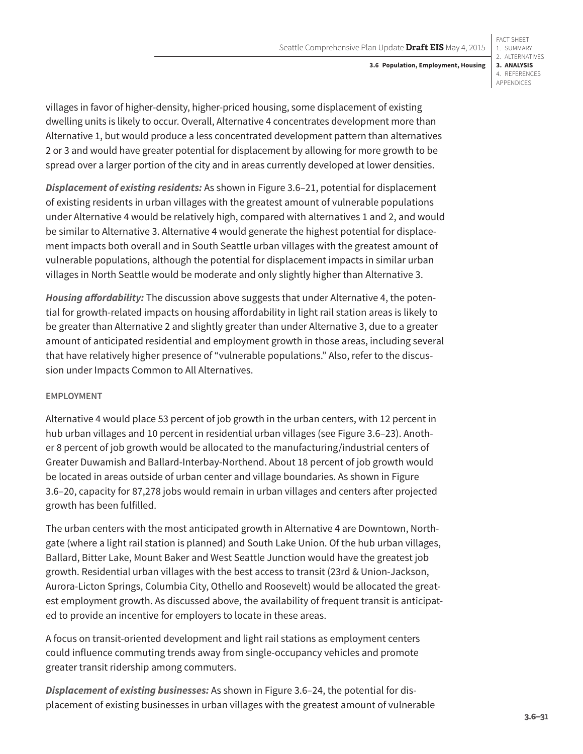FACT SHEET 1. SUMMARY 2. ALTERNATIVES **3. ANALYSIS** 4. REFERENCES APPENDICES

villages in favor of higher-density, higher-priced housing, some displacement of existing dwelling units is likely to occur. Overall, Alternative 4 concentrates development more than Alternative 1, but would produce a less concentrated development pattern than alternatives 2 or 3 and would have greater potential for displacement by allowing for more growth to be spread over a larger portion of the city and in areas currently developed at lower densities.

*Displacement of existing residents:* As shown in [Figure 3.6–21,](#page-21-0) potential for displacement of existing residents in urban villages with the greatest amount of vulnerable populations under Alternative 4 would be relatively high, compared with alternatives 1 and 2, and would be similar to Alternative 3. Alternative 4 would generate the highest potential for displacement impacts both overall and in South Seattle urban villages with the greatest amount of vulnerable populations, although the potential for displacement impacts in similar urban villages in North Seattle would be moderate and only slightly higher than Alternative 3.

*Housing affordability:* The discussion above suggests that under Alternative 4, the potential for growth-related impacts on housing affordability in light rail station areas is likely to be greater than Alternative 2 and slightly greater than under Alternative 3, due to a greater amount of anticipated residential and employment growth in those areas, including several that have relatively higher presence of "vulnerable populations." Also, refer to the discussion under Impacts Common to All Alternatives.

### **EMPLOYMENT**

Alternative 4 would place 53 percent of job growth in the urban centers, with 12 percent in hub urban villages and 10 percent in residential urban villages (see [Figure 3.6–23\)](#page-23-0). Another 8 percent of job growth would be allocated to the manufacturing/industrial centers of Greater Duwamish and Ballard-Interbay-Northend. About 18 percent of job growth would be located in areas outside of urban center and village boundaries. As shown in [Figure](#page-18-0)  [3.6–20,](#page-18-0) capacity for 87,278 jobs would remain in urban villages and centers after projected growth has been fulfilled.

The urban centers with the most anticipated growth in Alternative 4 are Downtown, Northgate (where a light rail station is planned) and South Lake Union. Of the hub urban villages, Ballard, Bitter Lake, Mount Baker and West Seattle Junction would have the greatest job growth. Residential urban villages with the best access to transit (23rd & Union-Jackson, Aurora-Licton Springs, Columbia City, Othello and Roosevelt) would be allocated the greatest employment growth. As discussed above, the availability of frequent transit is anticipated to provide an incentive for employers to locate in these areas.

A focus on transit-oriented development and light rail stations as employment centers could influence commuting trends away from single-occupancy vehicles and promote greater transit ridership among commuters.

*Displacement of existing businesses:* As shown in [Figure 3.6–24](#page-24-0), the potential for displacement of existing businesses in urban villages with the greatest amount of vulnerable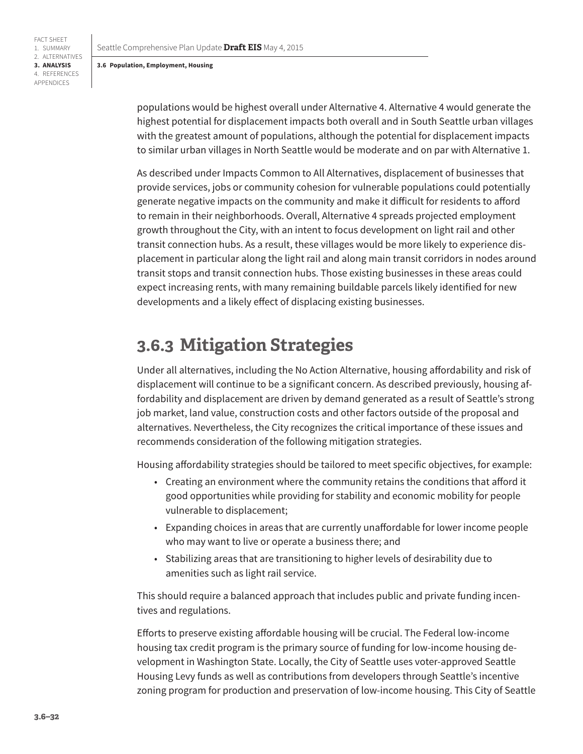FACT SHEET 1. SUMMARY 2. ALTERNATIVES **3. ANALYSIS** 4. REFERENCES APPENDICES

> populations would be highest overall under Alternative 4. Alternative 4 would generate the highest potential for displacement impacts both overall and in South Seattle urban villages with the greatest amount of populations, although the potential for displacement impacts to similar urban villages in North Seattle would be moderate and on par with Alternative 1.

> As described under Impacts Common to All Alternatives, displacement of businesses that provide services, jobs or community cohesion for vulnerable populations could potentially generate negative impacts on the community and make it difficult for residents to afford to remain in their neighborhoods. Overall, Alternative 4 spreads projected employment growth throughout the City, with an intent to focus development on light rail and other transit connection hubs. As a result, these villages would be more likely to experience displacement in particular along the light rail and along main transit corridors in nodes around transit stops and transit connection hubs. Those existing businesses in these areas could expect increasing rents, with many remaining buildable parcels likely identified for new developments and a likely effect of displacing existing businesses.

# **3.6.3 Mitigation Strategies**

Under all alternatives, including the No Action Alternative, housing affordability and risk of displacement will continue to be a significant concern. As described previously, housing affordability and displacement are driven by demand generated as a result of Seattle's strong job market, land value, construction costs and other factors outside of the proposal and alternatives. Nevertheless, the City recognizes the critical importance of these issues and recommends consideration of the following mitigation strategies.

Housing affordability strategies should be tailored to meet specific objectives, for example:

- Creating an environment where the community retains the conditions that afford it good opportunities while providing for stability and economic mobility for people vulnerable to displacement;
- Expanding choices in areas that are currently unaffordable for lower income people who may want to live or operate a business there; and
- Stabilizing areas that are transitioning to higher levels of desirability due to amenities such as light rail service.

This should require a balanced approach that includes public and private funding incentives and regulations.

Efforts to preserve existing affordable housing will be crucial. The Federal low-income housing tax credit program is the primary source of funding for low-income housing development in Washington State. Locally, the City of Seattle uses voter-approved Seattle Housing Levy funds as well as contributions from developers through Seattle's incentive zoning program for production and preservation of low-income housing. This City of Seattle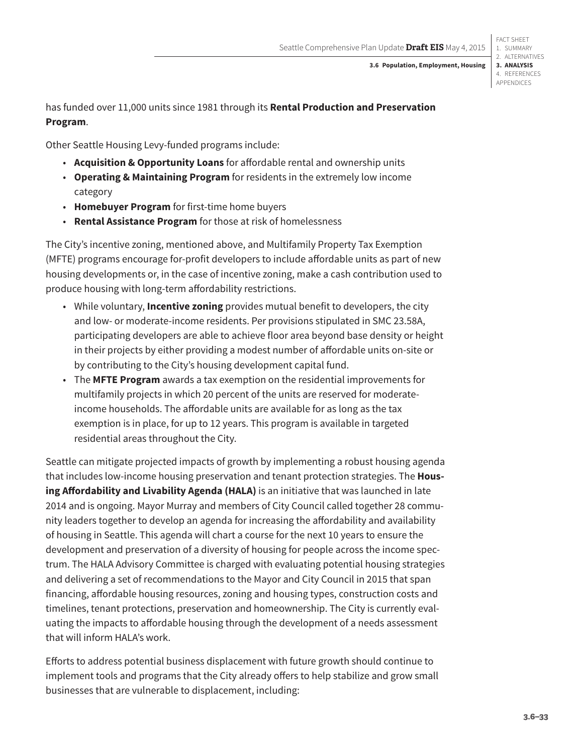FACT SHEET 1. SUMMARY 2. ALTERNATIVES **3. ANALYSIS** 4. REFERENCES APPENDICES

has funded over 11,000 units since 1981 through its **Rental Production and Preservation Program**.

Other Seattle Housing Levy-funded programs include:

- **Acquisition & Opportunity Loans** for affordable rental and ownership units
- **Operating & Maintaining Program** for residents in the extremely low income category
- **Homebuyer Program** for first-time home buyers
- **Rental Assistance Program** for those at risk of homelessness

The City's incentive zoning, mentioned above, and Multifamily Property Tax Exemption (MFTE) programs encourage for-profit developers to include affordable units as part of new housing developments or, in the case of incentive zoning, make a cash contribution used to produce housing with long-term affordability restrictions.

- While voluntary, **Incentive zoning** provides mutual benefit to developers, the city and low- or moderate-income residents. Per provisions stipulated in SMC 23.58A, participating developers are able to achieve floor area beyond base density or height in their projects by either providing a modest number of affordable units on-site or by contributing to the City's housing development capital fund.
- The **MFTE Program** awards a tax exemption on the residential improvements for multifamily projects in which 20 percent of the units are reserved for moderateincome households. The affordable units are available for as long as the tax exemption is in place, for up to 12 years. This program is available in targeted residential areas throughout the City.

Seattle can mitigate projected impacts of growth by implementing a robust housing agenda that includes low-income housing preservation and tenant protection strategies. The **Housing Affordability and Livability Agenda (HALA)** is an initiative that was launched in late 2014 and is ongoing. Mayor Murray and members of City Council called together 28 community leaders together to develop an agenda for increasing the affordability and availability of housing in Seattle. This agenda will chart a course for the next 10 years to ensure the development and preservation of a diversity of housing for people across the income spectrum. The HALA Advisory Committee is charged with evaluating potential housing strategies and delivering a set of recommendations to the Mayor and City Council in 2015 that span financing, affordable housing resources, zoning and housing types, construction costs and timelines, tenant protections, preservation and homeownership. The City is currently evaluating the impacts to affordable housing through the development of a needs assessment that will inform HALA's work.

Efforts to address potential business displacement with future growth should continue to implement tools and programs that the City already offers to help stabilize and grow small businesses that are vulnerable to displacement, including: